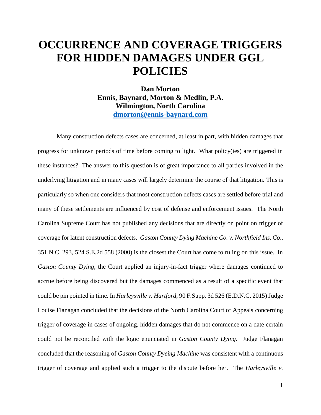# **OCCURRENCE AND COVERAGE TRIGGERS FOR HIDDEN DAMAGES UNDER GGL POLICIES**

**Dan Morton Ennis, Baynard, Morton & Medlin, P.A. Wilmington, North Carolina [dmorton@ennis-baynard.com](mailto:dmorton@ennis-baynard.com)**

Many construction defects cases are concerned, at least in part, with hidden damages that progress for unknown periods of time before coming to light. What policy(ies) are triggered in these instances? The answer to this question is of great importance to all parties involved in the underlying litigation and in many cases will largely determine the course of that litigation. This is particularly so when one considers that most construction defects cases are settled before trial and many of these settlements are influenced by cost of defense and enforcement issues. The North Carolina Supreme Court has not published any decisions that are directly on point on trigger of coverage for latent construction defects. *Gaston County Dying Machine Co. v. Northfield Ins. Co*., 351 N.C. 293, 524 S.E.2d 558 (2000) is the closest the Court has come to ruling on this issue. In *Gaston County Dying*, the Court applied an injury-in-fact trigger where damages continued to accrue before being discovered but the damages commenced as a result of a specific event that could be pin pointed in time. In *Harleysville v. Hartford*, 90 F.Supp. 3d 526 (E.D.N.C. 2015) Judge Louise Flanagan concluded that the decisions of the North Carolina Court of Appeals concerning trigger of coverage in cases of ongoing, hidden damages that do not commence on a date certain could not be reconciled with the logic enunciated in *Gaston County Dying*. Judge Flanagan concluded that the reasoning of *Gaston County Dyeing Machine* was consistent with a continuous trigger of coverage and applied such a trigger to the dispute before her. The *Harleysville v.*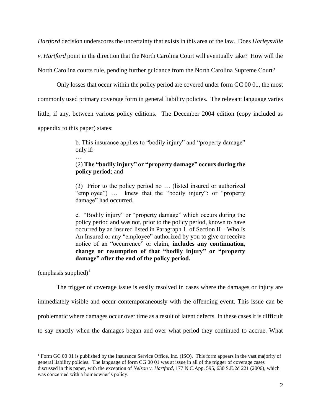*Hartford* decision underscores the uncertainty that exists in this area of the law. Does *Harleysville v. Hartford* point in the direction that the North Carolina Court will eventually take? How will the North Carolina courts rule, pending further guidance from the North Carolina Supreme Court?

Only losses that occur within the policy period are covered under form GC 00 01, the most commonly used primary coverage form in general liability policies. The relevant language varies little, if any, between various policy editions. The December 2004 edition (copy included as appendix to this paper) states:

> b. This insurance applies to "bodily injury" and "property damage" only if:

# (2) **The "bodily injury" or "property damage" occurs during the policy period**; and

(3) Prior to the policy period no … (listed insured or authorized "employee") … knew that the "bodily injury": or "property damage" had occurred.

c. "Bodily injury" or "property damage" which occurs during the policy period and was not, prior to the policy period, known to have occurred by an insured listed in Paragraph 1. of Section II – Who Is An Insured or any "employee" authorized by you to give or receive notice of an "occurrence" or claim, **includes any continuation, change or resumption of that "bodily injury" or "property damage" after the end of the policy period.**

(emphasis supplied)<sup>1</sup>

 $\overline{a}$ 

…

The trigger of coverage issue is easily resolved in cases where the damages or injury are immediately visible and occur contemporaneously with the offending event. This issue can be problematic where damages occur over time as a result of latent defects. In these cases it is difficult to say exactly when the damages began and over what period they continued to accrue. What

<sup>&</sup>lt;sup>1</sup> Form GC 00 01 is published by the Insurance Service Office, Inc. (ISO). This form appears in the vast majority of general liability policies. The language of form CG 00 01 was at issue in all of the trigger of coverage cases discussed in this paper, with the exception of *Nelson v. Hartford*, 177 N.C.App. 595, 630 S.E.2d 221 (2006), which was concerned with a homeowner's policy.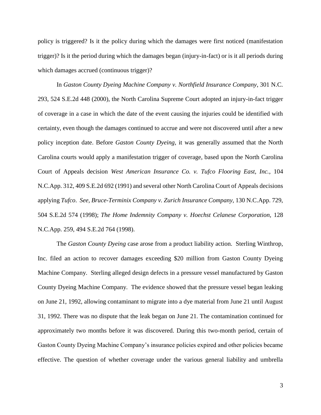policy is triggered? Is it the policy during which the damages were first noticed (manifestation trigger)? Is it the period during which the damages began (injury-in-fact) or is it all periods during which damages accrued (continuous trigger)?

In *Gaston County Dyeing Machine Company v. Northfield Insurance Company*, 301 N.C. 293, 524 S.E.2d 448 (2000), the North Carolina Supreme Court adopted an injury-in-fact trigger of coverage in a case in which the date of the event causing the injuries could be identified with certainty, even though the damages continued to accrue and were not discovered until after a new policy inception date. Before *Gaston County Dyeing*, it was generally assumed that the North Carolina courts would apply a manifestation trigger of coverage, based upon the North Carolina Court of Appeals decision *West American Insurance Co. v. Tufco Flooring East, Inc.*, 104 N.C.App. 312, 409 S.E.2d 692 (1991) and several other North Carolina Court of Appeals decisions applying *Tufco*. *See, Bruce-Terminix Company v. Zurich Insurance Company,* 130 N.C.App. 729, 504 S.E.2d 574 (1998); *The Home Indemnity Company v. Hoechst Celanese Corporation,* 128 N.C.App. 259, 494 S.E.2d 764 (1998).

The *Gaston County Dyeing* case arose from a product liability action. Sterling Winthrop, Inc. filed an action to recover damages exceeding \$20 million from Gaston County Dyeing Machine Company. Sterling alleged design defects in a pressure vessel manufactured by Gaston County Dyeing Machine Company. The evidence showed that the pressure vessel began leaking on June 21, 1992, allowing contaminant to migrate into a dye material from June 21 until August 31, 1992. There was no dispute that the leak began on June 21. The contamination continued for approximately two months before it was discovered. During this two-month period, certain of Gaston County Dyeing Machine Company's insurance policies expired and other policies became effective. The question of whether coverage under the various general liability and umbrella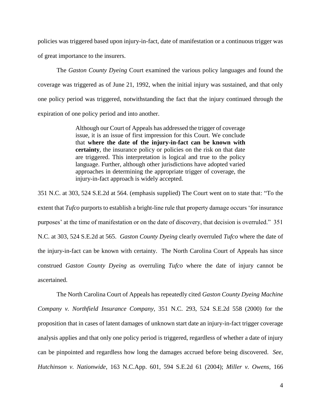policies was triggered based upon injury-in-fact, date of manifestation or a continuous trigger was of great importance to the insurers.

The *Gaston County Dyeing* Court examined the various policy languages and found the coverage was triggered as of June 21, 1992, when the initial injury was sustained, and that only one policy period was triggered, notwithstanding the fact that the injury continued through the expiration of one policy period and into another.

> Although our Court of Appeals has addressed the trigger of coverage issue, it is an issue of first impression for this Court. We conclude that **where the date of the injury-in-fact can be known with certainty**, the insurance policy or policies on the risk on that date are triggered. This interpretation is logical and true to the policy language. Further, although other jurisdictions have adopted varied approaches in determining the appropriate trigger of coverage, the injury-in-fact approach is widely accepted.

351 N.C. at 303, 524 S.E.2d at 564. (emphasis supplied) The Court went on to state that: "To the extent that *Tufco* purports to establish a bright-line rule that property damage occurs 'for insurance purposes' at the time of manifestation or on the date of discovery, that decision is overruled." 351 N.C. at 303, 524 S.E.2d at 565. *Gaston County Dyeing* clearly overruled *Tufco* where the date of the injury-in-fact can be known with certainty. The North Carolina Court of Appeals has since construed *Gaston County Dyeing* as overruling *Tufco* where the date of injury cannot be ascertained.

The North Carolina Court of Appeals has repeatedly cited *Gaston County Dyeing Machine Company v. Northfield Insurance Company,* 351 N.C. 293, 524 S.E.2d 558 (2000) for the proposition that in cases of latent damages of unknown start date an injury-in-fact trigger coverage analysis applies and that only one policy period is triggered, regardless of whether a date of injury can be pinpointed and regardless how long the damages accrued before being discovered. *See*, *Hutchinson v. Nationwide*, 163 N.C.App. 601, 594 S.E.2d 61 (2004); *Miller v. Owens*, 166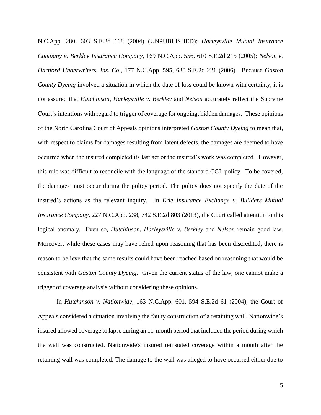N.C.App. 280, 603 S.E.2d 168 (2004) (UNPUBLISHED); *Harleysville Mutual Insurance Company v. Berkley Insurance Company*, 169 N.C.App. 556, 610 S.E.2d 215 (2005); *Nelson v. Hartford Underwriters, Ins. Co*., 177 N.C.App. 595, 630 S.E.2d 221 (2006). Because *Gaston County Dyeing* involved a situation in which the date of loss could be known with certainty, it is not assured that *Hutchinson*, *Harleysville v. Berkley* and *Nelson* accurately reflect the Supreme Court's intentions with regard to trigger of coverage for ongoing, hidden damages. These opinions of the North Carolina Court of Appeals opinions interpreted *Gaston County Dyeing* to mean that, with respect to claims for damages resulting from latent defects, the damages are deemed to have occurred when the insured completed its last act or the insured's work was completed. However, this rule was difficult to reconcile with the language of the standard CGL policy. To be covered, the damages must occur during the policy period. The policy does not specify the date of the insured's actions as the relevant inquiry. In *Erie Insurance Exchange v. Builders Mutual Insurance Company*, 227 N.C.App. 238, 742 S.E.2d 803 (2013), the Court called attention to this logical anomaly. Even so, *Hutchinson*, *Harleysville v. Berkley* and *Nelson* remain good law. Moreover, while these cases may have relied upon reasoning that has been discredited, there is reason to believe that the same results could have been reached based on reasoning that would be consistent with *Gaston County Dyeing*. Given the current status of the law, one cannot make a trigger of coverage analysis without considering these opinions.

In *Hutchinson v. Nationwide*, 163 N.C.App. 601, 594 S.E.2d 61 (2004), the Court of Appeals considered a situation involving the faulty construction of a retaining wall. Nationwide's insured allowed coverage to lapse during an 11-month period that included the period during which the wall was constructed. Nationwide's insured reinstated coverage within a month after the retaining wall was completed. The damage to the wall was alleged to have occurred either due to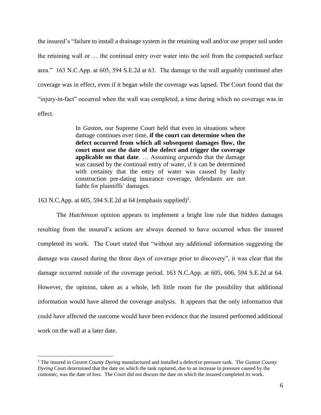the insured's "failure to install a drainage system in the retaining wall and/or use proper soil under the retaining wall or … the continual entry over water into the soil from the compacted surface area." 163 N.C.App. at 605, 594 S.E.2d at 63. The damage to the wall arguably continued after coverage was in effect, even if it began while the coverage was lapsed. The Court found that the "injury-in-fact" occurred when the wall was completed, a time during which no coverage was in effect.

> In *[Gaston,](http://www.westlaw.com/Link/Document/FullText?findType=Y&serNum=2000047336&originationContext=document&vr=3.0&rs=cblt1.0&transitionType=DocumentItem&contextData=(sc.UserEnteredCitation))* our Supreme Court held that even in situations where damage continues over time, **if the court can determine when the defect occurred from which all subsequent damages flow, the court must use the date of the defect and trigger the coverage applicable on that date**. … Assuming *arguendo* that the damage was caused by the continual entry of water, if it can be determined with certainty that the entry of water was caused by faulty construction pre-dating insurance coverage, defendants are not liable for plaintiffs' damages.

163 N.C.App. at 605, 594 S.E.2d at 64 (emphasis supplied)<sup>2</sup>.

 $\overline{a}$ 

The *Hutchinson* opinion appears to implement a bright line rule that hidden damages resulting from the insured's actions are always deemed to have occurred when the insured completed its work. The Court stated that "without any additional information suggesting the damage was caused during the three days of coverage prior to discovery", it was clear that the damage occurred outside of the coverage period. 163 N.C.App. at 605, 606, 594 S.E.2d at 64. However, the opinion, taken as a whole, left little room for the possibility that additional information would have altered the coverage analysis. It appears that the only information that could have affected the outcome would have been evidence that the insured performed additional work on the wall at a later date.

<sup>2</sup> The insured in *Gaston County Dyeing* manufactured and installed a defective pressure tank. The *Gaston County Dyeing* Court determined that the date on which the tank ruptured, due to an increase in pressure caused by the customer, was the date of loss. The Court did not discuss the date on which the insured completed its work.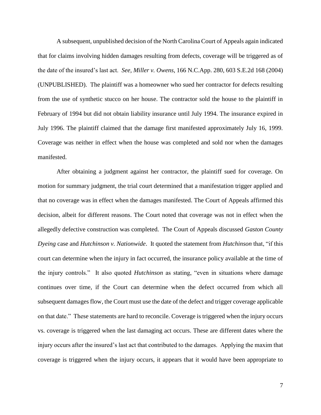A subsequent, unpublished decision of the North Carolina Court of Appeals again indicated that for claims involving hidden damages resulting from defects, coverage will be triggered as of the date of the insured's last act. *See, Miller v. Owens*, 166 N.C.App. 280, 603 S.E.2d 168 (2004) (UNPUBLISHED). The plaintiff was a homeowner who sued her contractor for defects resulting from the use of synthetic stucco on her house. The contractor sold the house to the plaintiff in February of 1994 but did not obtain liability insurance until July 1994. The insurance expired in July 1996. The plaintiff claimed that the damage first manifested approximately July 16, 1999. Coverage was neither in effect when the house was completed and sold nor when the damages manifested.

After obtaining a judgment against her contractor, the plaintiff sued for coverage. On motion for summary judgment, the trial court determined that a manifestation trigger applied and that no coverage was in effect when the damages manifested. The Court of Appeals affirmed this decision, albeit for different reasons. The Court noted that coverage was not in effect when the allegedly defective construction was completed. The Court of Appeals discussed *Gaston County Dyeing* case and *Hutchinson v. Nationwide*. It quoted the statement from *Hutchinson* that, "if this court can determine when the injury in fact occurred, the insurance policy available at the time of the injury controls." It also quoted *Hutchinson* as stating, "even in situations where damage continues over time, if the Court can determine when the defect occurred from which all subsequent damages flow, the Court must use the date of the defect and trigger coverage applicable on that date." These statements are hard to reconcile. Coverage is triggered when the injury occurs vs. coverage is triggered when the last damaging act occurs. These are different dates where the injury occurs after the insured's last act that contributed to the damages. Applying the maxim that coverage is triggered when the injury occurs, it appears that it would have been appropriate to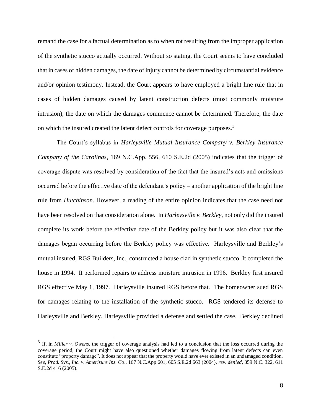remand the case for a factual determination as to when rot resulting from the improper application of the synthetic stucco actually occurred. Without so stating, the Court seems to have concluded that in cases of hidden damages, the date of injury cannot be determined by circumstantial evidence and/or opinion testimony. Instead, the Court appears to have employed a bright line rule that in cases of hidden damages caused by latent construction defects (most commonly moisture intrusion), the date on which the damages commence cannot be determined. Therefore, the date on which the insured created the latent defect controls for coverage purposes.<sup>3</sup>

The Court's syllabus in *Harleysville Mutual Insurance Company v. Berkley Insurance Company of the Carolinas*, 169 N.C.App. 556, 610 S.E.2d (2005) indicates that the trigger of coverage dispute was resolved by consideration of the fact that the insured's acts and omissions occurred before the effective date of the defendant's policy – another application of the bright line rule from *Hutchinson*. However, a reading of the entire opinion indicates that the case need not have been resolved on that consideration alone. In *Harleysville v. Berkley*, not only did the insured complete its work before the effective date of the Berkley policy but it was also clear that the damages began occurring before the Berkley policy was effective. Harleysville and Berkley's mutual insured, RGS Builders, Inc., constructed a house clad in synthetic stucco. It completed the house in 1994. It performed repairs to address moisture intrusion in 1996. Berkley first insured RGS effective May 1, 1997. Harleysville insured RGS before that. The homeowner sued RGS for damages relating to the installation of the synthetic stucco. RGS tendered its defense to Harleysville and Berkley. Harleysville provided a defense and settled the case. Berkley declined

<sup>&</sup>lt;sup>3</sup> If, in *Miller v. Owens*, the trigger of coverage analysis had led to a conclusion that the loss occurred during the coverage period, the Court might have also questioned whether damages flowing from latent defects can even constitute "property damage". It does not appear that the property would have ever existed in an undamaged condition. *See, Prod. Sys., Inc. v. Amerisure Ins. Co*., 167 N.C.App 601, 605 S.E.2d 663 (2004), *rev. denied*, 359 N.C. 322, 611 S.E.2d 416 (2005).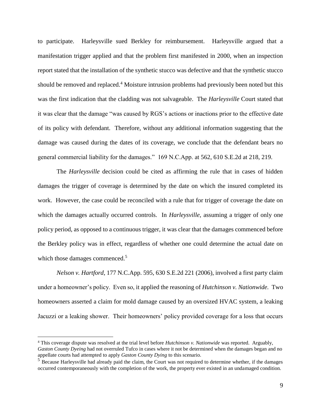to participate. Harleysville sued Berkley for reimbursement. Harleysville argued that a manifestation trigger applied and that the problem first manifested in 2000, when an inspection report stated that the installation of the synthetic stucco was defective and that the synthetic stucco should be removed and replaced.<sup>4</sup> Moisture intrusion problems had previously been noted but this was the first indication that the cladding was not salvageable. The *Harleysville* Court stated that it was clear that the damage "was caused by RGS's actions or inactions prior to the effective date of its policy with defendant. Therefore, without any additional information suggesting that the damage was caused during the dates of its coverage, we conclude that the defendant bears no general commercial liability for the damages." 169 N.C.App. at 562, 610 S.E.2d at 218, 219.

The *Harleysville* decision could be cited as affirming the rule that in cases of hidden damages the trigger of coverage is determined by the date on which the insured completed its work. However, the case could be reconciled with a rule that for trigger of coverage the date on which the damages actually occurred controls. In *Harleysville*, assuming a trigger of only one policy period, as opposed to a continuous trigger, it was clear that the damages commenced before the Berkley policy was in effect, regardless of whether one could determine the actual date on which those damages commenced.<sup>5</sup>

*Nelson v. Hartford*, 177 N.C.App. 595, 630 S.E.2d 221 (2006), involved a first party claim under a homeowner's policy. Even so, it applied the reasoning of *Hutchinson v. Nationwide.* Two homeowners asserted a claim for mold damage caused by an oversized HVAC system, a leaking Jacuzzi or a leaking shower. Their homeowners' policy provided coverage for a loss that occurs

<sup>4</sup> This coverage dispute was resolved at the trial level before *Hutchinson v. Nationwide* was reported. Arguably, *Gaston County Dyeing* had not overruled Tufco in cases where it not be determined when the damages began and no appellate courts had attempted to apply *Gaston County Dying* to this scenario.

 $<sup>5</sup>$  Because Harleysville had already paid the claim, the Court was not required to determine whether, if the damages</sup> occurred contemporaneously with the completion of the work, the property ever existed in an undamaged condition.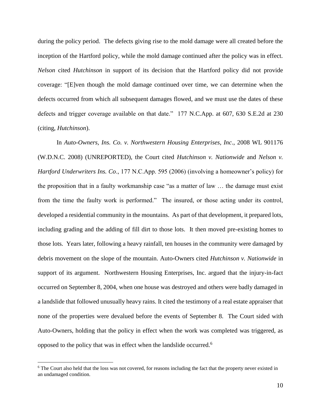during the policy period. The defects giving rise to the mold damage were all created before the inception of the Hartford policy, while the mold damage continued after the policy was in effect. *Nelson* cited *Hutchinson* in support of its decision that the Hartford policy did not provide coverage: "[E]ven though the mold damage continued over time, we can determine when the defects occurred from which all subsequent damages flowed, and we must use the dates of these defects and trigger coverage available on that date." 177 N.C.App. at 607, 630 S.E.2d at 230 (citing, *Hutchinson*).

In *Auto-Owners, Ins. Co. v. Northwestern Housing Enterprises, Inc*., 2008 WL 901176 (W.D.N.C. 2008) (UNREPORTED), the Court cited *Hutchinson v. Nationwide* and *Nelson v. Hartford Underwriters Ins. Co*., 177 N.C.App. 595 (2006) (involving a homeowner's policy) for the proposition that in a faulty workmanship case "as a matter of law … the damage must exist from the time the faulty work is performed." The insured, or those acting under its control, developed a residential community in the mountains. As part of that development, it prepared lots, including grading and the adding of fill dirt to those lots. It then moved pre-existing homes to those lots. Years later, following a heavy rainfall, ten houses in the community were damaged by debris movement on the slope of the mountain. Auto-Owners cited *Hutchinson v. Nationwide* in support of its argument. Northwestern Housing Enterprises, Inc. argued that the injury-in-fact occurred on September 8, 2004, when one house was destroyed and others were badly damaged in a landslide that followed unusually heavy rains. It cited the testimony of a real estate appraiser that none of the properties were devalued before the events of September 8. The Court sided with Auto-Owners, holding that the policy in effect when the work was completed was triggered, as opposed to the policy that was in effect when the landslide occurred.<sup>6</sup>

<sup>&</sup>lt;sup>6</sup> The Court also held that the loss was not covered, for reasons including the fact that the property never existed in an undamaged condition.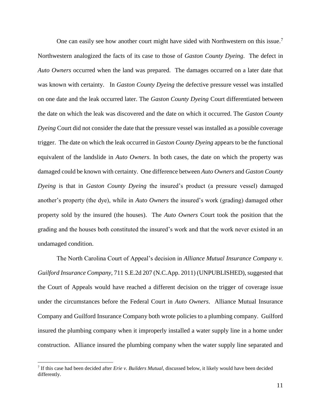One can easily see how another court might have sided with Northwestern on this issue.<sup>7</sup> Northwestern analogized the facts of its case to those of *Gaston County Dyeing*. The defect in *Auto Owners* occurred when the land was prepared. The damages occurred on a later date that was known with certainty. In *Gaston County Dyeing* the defective pressure vessel was installed on one date and the leak occurred later. The *Gaston County Dyeing* Court differentiated between the date on which the leak was discovered and the date on which it occurred. The *Gaston County Dyeing* Court did not consider the date that the pressure vessel was installed as a possible coverage trigger. The date on which the leak occurred in *Gaston County Dyeing* appears to be the functional equivalent of the landslide in *Auto Owners*. In both cases, the date on which the property was damaged could be known with certainty. One difference between *Auto Owners* and *Gaston County Dyeing* is that in *Gaston County Dyeing* the insured's product (a pressure vessel) damaged another's property (the dye), while in *Auto Owners* the insured's work (grading) damaged other property sold by the insured (the houses). The *Auto Owners* Court took the position that the grading and the houses both constituted the insured's work and that the work never existed in an undamaged condition.

The North Carolina Court of Appeal's decision in *Alliance Mutual Insurance Company v. Guilford Insurance Company*, 711 S.E.2d 207 (N.C.App. 2011) (UNPUBLISHED), suggested that the Court of Appeals would have reached a different decision on the trigger of coverage issue under the circumstances before the Federal Court in *Auto Owners*. Alliance Mutual Insurance Company and Guilford Insurance Company both wrote policies to a plumbing company. Guilford insured the plumbing company when it improperly installed a water supply line in a home under construction. Alliance insured the plumbing company when the water supply line separated and

<sup>7</sup> If this case had been decided after *Erie v. Builders Mutual*, discussed below, it likely would have been decided differently.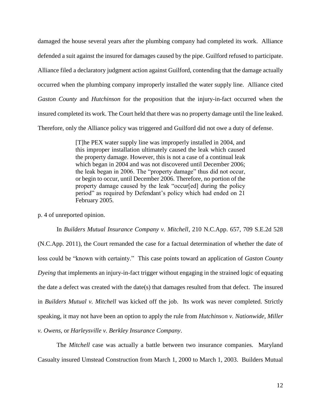damaged the house several years after the plumbing company had completed its work. Alliance defended a suit against the insured for damages caused by the pipe. Guilford refused to participate. Alliance filed a declaratory judgment action against Guilford, contending that the damage actually occurred when the plumbing company improperly installed the water supply line. Alliance cited *Gaston County* and *Hutchinson* for the proposition that the injury-in-fact occurred when the insured completed its work. The Court held that there was no property damage until the line leaked. Therefore, only the Alliance policy was triggered and Guilford did not owe a duty of defense.

> [T]he PEX water supply line was improperly installed in 2004, and this improper installation ultimately caused the leak which caused the property damage. However, this is not a case of a continual leak which began in 2004 and was not discovered until December 2006; the leak began in 2006. The "property damage" thus did not occur, or begin to occur, until December 2006. Therefore, no portion of the property damage caused by the leak "occur[ed] during the policy period" as required by Defendant's policy which had ended on 21 February 2005.

p. 4 of unreported opinion.

In *Builders Mutual Insurance Company v. Mitchell*, 210 N.C.App. 657, 709 S.E.2d 528 (N.C.App. 2011), the Court remanded the case for a factual determination of whether the date of loss could be "known with certainty." This case points toward an application of *Gaston County Dyeing* that implements an injury-in-fact trigger without engaging in the strained logic of equating the date a defect was created with the date(s) that damages resulted from that defect. The insured in *Builders Mutual v. Mitchell* was kicked off the job. Its work was never completed. Strictly speaking, it may not have been an option to apply the rule from *Hutchinson v. Nationwide*, *Miller v. Owens*, or *Harleysville v. Berkley Insurance Company*.

The *Mitchell* case was actually a battle between two insurance companies. Maryland Casualty insured Umstead Construction from March 1, 2000 to March 1, 2003. Builders Mutual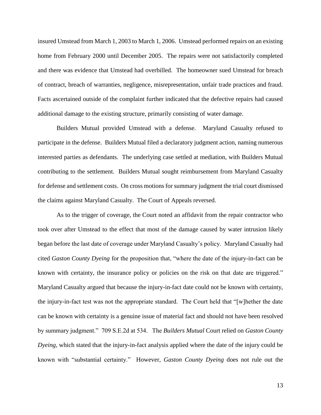insured Umstead from March 1, 2003 to March 1, 2006. Umstead performed repairs on an existing home from February 2000 until December 2005. The repairs were not satisfactorily completed and there was evidence that Umstead had overbilled. The homeowner sued Umstead for breach of contract, breach of warranties, negligence, misrepresentation, unfair trade practices and fraud. Facts ascertained outside of the complaint further indicated that the defective repairs had caused additional damage to the existing structure, primarily consisting of water damage.

Builders Mutual provided Umstead with a defense. Maryland Casualty refused to participate in the defense. Builders Mutual filed a declaratory judgment action, naming numerous interested parties as defendants. The underlying case settled at mediation, with Builders Mutual contributing to the settlement. Builders Mutual sought reimbursement from Maryland Casualty for defense and settlement costs. On cross motions for summary judgment the trial court dismissed the claims against Maryland Casualty. The Court of Appeals reversed.

As to the trigger of coverage, the Court noted an affidavit from the repair contractor who took over after Umstead to the effect that most of the damage caused by water intrusion likely began before the last date of coverage under Maryland Casualty's policy. Maryland Casualty had cited *Gaston County Dyeing* for the proposition that, "where the date of the injury-in-fact can be known with certainty, the insurance policy or policies on the risk on that date are triggered." Maryland Casualty argued that because the injury-in-fact date could not be known with certainty, the injury-in-fact test was not the appropriate standard. The Court held that "[w]hether the date can be known with certainty is a genuine issue of material fact and should not have been resolved by summary judgment." 709 S.E.2d at 534. The *Builders Mutual* Court relied on *Gaston County Dyeing,* which stated that the injury-in-fact analysis applied where the date of the injury could be known with "substantial certainty." However, *Gaston County Dyeing* does not rule out the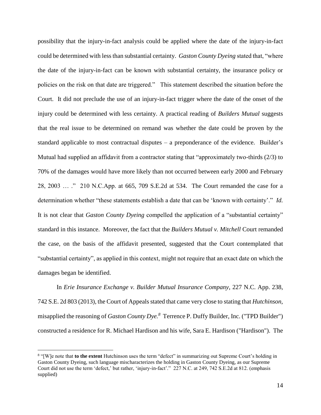possibility that the injury-in-fact analysis could be applied where the date of the injury-in-fact could be determined with less than substantial certainty. *Gaston County Dyeing* stated that, "where the date of the injury-in-fact can be known with substantial certainty, the insurance policy or policies on the risk on that date are triggered." This statement described the situation before the Court. It did not preclude the use of an injury-in-fact trigger where the date of the onset of the injury could be determined with less certainty. A practical reading of *Builders Mutual* suggests that the real issue to be determined on remand was whether the date could be proven by the standard applicable to most contractual disputes – a preponderance of the evidence. Builder's Mutual had supplied an affidavit from a contractor stating that "approximately two-thirds (2/3) to 70% of the damages would have more likely than not occurred between early 2000 and February 28, 2003 … ." 210 N.C.App. at 665, 709 S.E.2d at 534. The Court remanded the case for a determination whether "these statements establish a date that can be 'known with certainty'." *Id.* It is not clear that *Gaston County Dyeing* compelled the application of a "substantial certainty" standard in this instance. Moreover, the fact that the *Builders Mutual v. Mitchell* Court remanded the case, on the basis of the affidavit presented, suggested that the Court contemplated that "substantial certainty", as applied in this context, might not require that an exact date on which the damages began be identified.

In *Erie Insurance Exchange v. Builder Mutual Insurance Company*, 227 N.C. App. 238, 742 S.E. 2d 803 (2013), the Court of Appealsstated that came very close to stating that *Hutchinson,*  misapplied the reasoning of *Gaston County Dye.<sup>8</sup>* Terrence P. Duffy Builder, Inc. ("TPD Builder") constructed a residence for R. Michael Hardison and his wife, Sara E. Hardison ("Hardison"). The

<sup>&</sup>lt;sup>8</sup> "[W]e note that **to the extent** Hutchinson uses the term "defect" in summarizing out Supreme Court's holding in Gaston County Dyeing, such language mischaracterizes the holding in Gaston County Dyeing, as our Supreme Court did not use the term 'defect,' but rather, 'injury-in-fact'." 227 N.C. at 249, 742 S.E.2d at 812. (emphasis supplied)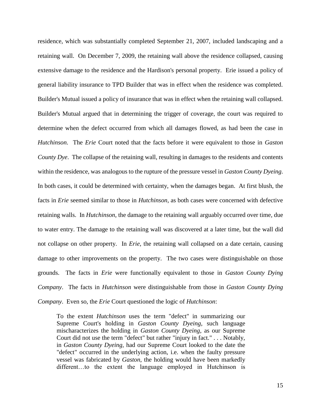residence, which was substantially completed September 21, 2007, included landscaping and a retaining wall. On December 7, 2009, the retaining wall above the residence collapsed, causing extensive damage to the residence and the Hardison's personal property. Erie issued a policy of general liability insurance to TPD Builder that was in effect when the residence was completed. Builder's Mutual issued a policy of insurance that was in effect when the retaining wall collapsed. Builder's Mutual argued that in determining the trigger of coverage, the court was required to determine when the defect occurred from which all damages flowed, as had been the case in *Hutchinson*. The *Erie* Court noted that the facts before it were equivalent to those in *Gaston County Dye*. The collapse of the retaining wall, resulting in damages to the residents and contents within the residence, was analogous to the rupture of the pressure vessel in *Gaston County Dyeing*. In both cases, it could be determined with certainty, when the damages began. At first blush, the facts in *Erie* seemed similar to those in *Hutchinson*, as both cases were concerned with defective retaining walls. In *Hutchinson*, the damage to the retaining wall arguably occurred over time, due to water entry. The damage to the retaining wall was discovered at a later time, but the wall did not collapse on other property. In *Erie*, the retaining wall collapsed on a date certain, causing damage to other improvements on the property. The two cases were distinguishable on those grounds. The facts in *Erie* were functionally equivalent to those in *Gaston County Dying Company*. The facts in *Hutchinson* were distinguishable from those in *Gaston County Dying Company*. Even so, the *Erie* Court questioned the logic of *Hutchinson*:

To the extent *Hutchinson* uses the term "defect" in summarizing our Supreme Court's holding in *Gaston County Dyeing*, such language mischaracterizes the holding in *Gaston County Dyeing*, as our Supreme Court did not use the term "defect" but rather "injury in fact." . . . Notably, in *Gaston County Dyeing,* had our Supreme Court looked to the date the "defect" occurred in the underlying action, i.e. when the faulty pressure vessel was fabricated by *Gaston*, the holding would have been markedly different…to the extent the language employed in Hutchinson is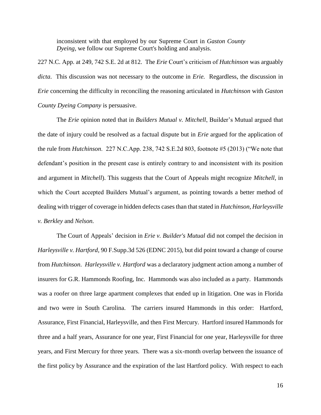inconsistent with that employed by our Supreme Court in *Gaston County Dyeing*, we follow our Supreme Court's holding and analysis.

227 N.C. App. at 249, 742 S.E. 2d at 812. The *Erie* Court's criticism of *Hutchinson* was arguably *dicta*. This discussion was not necessary to the outcome in *Erie.* Regardless, the discussion in *Erie* concerning the difficulty in reconciling the reasoning articulated in *Hutchinson* with *Gaston County Dyeing Company* is persuasive.

The *Erie* opinion noted that in *Builders Mutual v. Mitchell*, Builder's Mutual argued that the date of injury could be resolved as a factual dispute but in *Erie* argued for the application of the rule from *Hutchinson*. 227 N.C.App. 238, 742 S.E.2d 803, footnote #5 (2013) ("We note that defendant's position in the present case is entirely contrary to and inconsistent with its position and argument in *Mitchell*). This suggests that the Court of Appeals might recognize *Mitchell*, in which the Court accepted Builders Mutual's argument, as pointing towards a better method of dealing with trigger of coverage in hidden defects cases than that stated in *Hutchinson, Harleysville v. Berkley* and *Nelson.*

The Court of Appeals' decision in *Erie v. Builder's Mutual* did not compel the decision in *Harleysville v. Hartford,* 90 F.Supp.3d 526 (EDNC 2015), but did point toward a change of course from *Hutchinson*. *Harleysville v. Hartford* was a declaratory judgment action among a number of insurers for G.R. Hammonds Roofing, Inc. Hammonds was also included as a party. Hammonds was a roofer on three large apartment complexes that ended up in litigation. One was in Florida and two were in South Carolina. The carriers insured Hammonds in this order: Hartford, Assurance, First Financial, Harleysville, and then First Mercury. Hartford insured Hammonds for three and a half years, Assurance for one year, First Financial for one year, Harleysville for three years, and First Mercury for three years. There was a six-month overlap between the issuance of the first policy by Assurance and the expiration of the last Hartford policy. With respect to each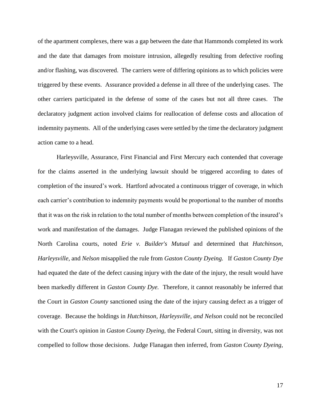of the apartment complexes, there was a gap between the date that Hammonds completed its work and the date that damages from moisture intrusion, allegedly resulting from defective roofing and/or flashing, was discovered. The carriers were of differing opinions as to which policies were triggered by these events. Assurance provided a defense in all three of the underlying cases. The other carriers participated in the defense of some of the cases but not all three cases. The declaratory judgment action involved claims for reallocation of defense costs and allocation of indemnity payments. All of the underlying cases were settled by the time the declaratory judgment action came to a head.

Harleysville, Assurance, First Financial and First Mercury each contended that coverage for the claims asserted in the underlying lawsuit should be triggered according to dates of completion of the insured's work. Hartford advocated a continuous trigger of coverage, in which each carrier's contribution to indemnity payments would be proportional to the number of months that it was on the risk in relation to the total number of months between completion of the insured's work and manifestation of the damages. Judge Flanagan reviewed the published opinions of the North Carolina courts, noted *Erie v. Builder's Mutual* and determined that *Hutchinson*, *Harleysville*, and *Nelson* misapplied the rule from *Gaston County Dyeing.* If *Gaston County Dye* had equated the date of the defect causing injury with the date of the injury, the result would have been markedly different in *Gaston County Dye.* Therefore, it cannot reasonably be inferred that the Court in *Gaston County* sanctioned using the date of the injury causing defect as a trigger of coverage. Because the holdings in *Hutchinson, Harleysville, and Nelson* could not be reconciled with the Court's opinion in *Gaston County Dyeing,* the Federal Court, sitting in diversity, was not compelled to follow those decisions. Judge Flanagan then inferred, from *Gaston County Dyeing*,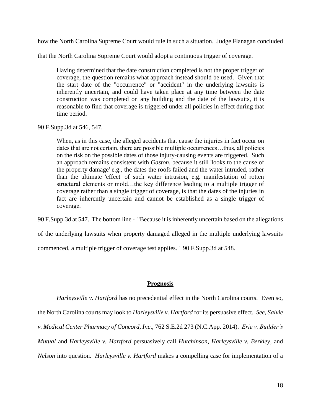how the North Carolina Supreme Court would rule in such a situation. Judge Flanagan concluded

that the North Carolina Supreme Court would adopt a continuous trigger of coverage.

Having determined that the date construction completed is not the proper trigger of coverage, the question remains what approach instead should be used. Given that the start date of the "occurrence" or "accident" in the underlying lawsuits is inherently uncertain, and could have taken place at any time between the date construction was completed on any building and the date of the lawsuits, it is reasonable to find that coverage is triggered under all policies in effect during that time period.

90 F.Supp.3d at 546, 547.

When, as in this case, the alleged accidents that cause the injuries in fact occur on dates that are not certain, there are possible multiple occurrences…thus, all policies on the risk on the possible dates of those injury-causing events are triggered. Such an approach remains consistent with *Gaston*, because it still 'looks to the cause of the property damage' e.g., the dates the roofs failed and the water intruded, rather than the ultimate 'effect' of such water intrusion, e.g. manifestation of rotten structural elements or mold…the key difference leading to a multiple trigger of coverage rather than a single trigger of coverage, is that the dates of the injuries in fact are inherently uncertain and cannot be established as a single trigger of coverage.

90 F.Supp.3d at 547. The bottom line - "Because it is inherently uncertain based on the allegations

of the underlying lawsuits when property damaged alleged in the multiple underlying lawsuits

commenced, a multiple trigger of coverage test applies." 90 F.Supp.3d at 548.

# **Prognosis**

*Harleysville v. Hartford* has no precedential effect in the North Carolina courts. Even so, the North Carolina courts may look to *Harleysville v. Hartford* for its persuasive effect. *See, Salvie v. Medical Center Pharmacy of Concord, Inc*., 762 S.E.2d 273 (N.C.App. 2014). *Erie v. Builder's Mutual* and *Harleysville v. Hartford* persuasively call *Hutchinson, Harleysville v. Berkley*, and *Nelson* into question. *Harleysville v. Hartford* makes a compelling case for implementation of a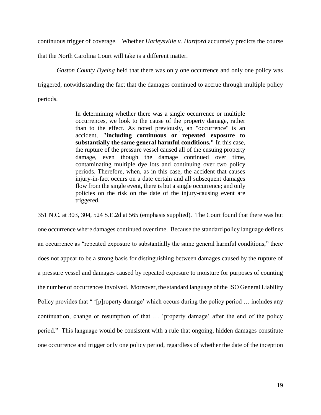continuous trigger of coverage. Whether *Harleysville v. Hartford* accurately predicts the course

that the North Carolina Court will take is a different matter.

*Gaston County Dyeing* held that there was only one occurrence and only one policy was triggered, notwithstanding the fact that the damages continued to accrue through multiple policy periods.

> In determining whether there was a single occurrence or multiple occurrences, we look to the cause of the property damage, rather than to the effect. As noted previously, an "occurrence" is an accident, **"including continuous or repeated exposure to substantially the same general harmful conditions."** In this case, the rupture of the pressure vessel caused all of the ensuing property damage, even though the damage continued over time, contaminating multiple dye lots and continuing over two policy periods. Therefore, when, as in this case, the accident that causes injury-in-fact occurs on a date certain and all subsequent damages flow from the single event, there is but a single occurrence; and only policies on the risk on the date of the injury-causing event are triggered.

351 N.C. at 303, 304, 524 S.E.2d at 565 (emphasis supplied). The Court found that there was but one occurrence where damages continued over time. Because the standard policy language defines an occurrence as "repeated exposure to substantially the same general harmful conditions," there does not appear to be a strong basis for distinguishing between damages caused by the rupture of a pressure vessel and damages caused by repeated exposure to moisture for purposes of counting the number of occurrences involved. Moreover, the standard language of the ISO General Liability Policy provides that " '[p]roperty damage' which occurs during the policy period ... includes any continuation, change or resumption of that … 'property damage' after the end of the policy period." This language would be consistent with a rule that ongoing, hidden damages constitute one occurrence and trigger only one policy period, regardless of whether the date of the inception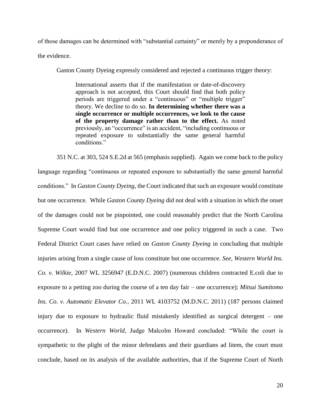of those damages can be determined with "substantial certainty" or merely by a preponderance of the evidence.

Gaston County Dyeing expressly considered and rejected a continuous trigger theory:

International asserts that if the manifestation or date-of-discovery approach is not accepted, this Court should find that both policy periods are triggered under a "continuous" or "multiple trigger" theory. We decline to do so. **In determining whether there was a single occurrence or multiple occurrences, we look to the cause of the property damage rather than to the effect.** As noted previously, an "occurrence" is an accident, "including continuous or repeated exposure to substantially the same general harmful conditions."

351 N.C. at 303, 524 S.E.2d at 565 (emphasis supplied). Again we come back to the policy language regarding "continuous or repeated exposure to substantially the same general harmful conditions." In *Gaston County Dyeing,* the Court indicated that such an exposure would constitute but one occurrence. While *Gaston County Dyeing* did not deal with a situation in which the onset of the damages could not be pinpointed, one could reasonably predict that the North Carolina Supreme Court would find but one occurrence and one policy triggered in such a case. Two Federal District Court cases have relied on *Gaston County Dyeing* in concluding that multiple injuries arising from a single cause of loss constitute but one occurrence. *See, Western World Ins. Co. v. Wilkie*, 2007 WL 3256947 (E.D.N.C. 2007) (numerous children contracted E.coli due to exposure to a petting zoo during the course of a ten day fair – one occurrence); *Mitsui Sumitomo Ins. Co. v. Automatic Elevator Co.*, 2011 WL 4103752 (M.D.N.C. 2011) (187 persons claimed injury due to exposure to hydraulic fluid mistakenly identified as surgical detergent – one occurrence). In *Western World*, Judge Malcolm Howard concluded: "While the court is sympathetic to the plight of the minor defendants and their guardians ad litem, the court must conclude, based on its analysis of the available authorities, that if the Supreme Court of North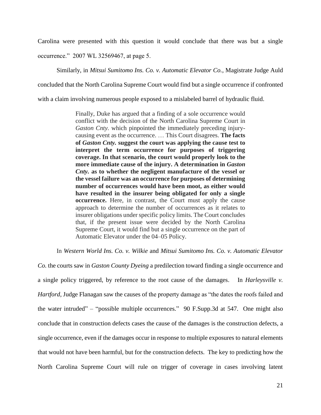Carolina were presented with this question it would conclude that there was but a single

occurrence." 2007 WL 32569467, at page 5.

Similarly, in *Mitsui Sumitomo Ins. Co. v. Automatic Elevator Co.*, Magistrate Judge Auld

concluded that the North Carolina Supreme Court would find but a single occurrence if confronted

with a claim involving numerous people exposed to a mislabeled barrel of hydraulic fluid.

Finally, Duke has argued that a finding of a sole occurrence would conflict with the decision of the North Carolina Supreme Court in *Gaston Cnty.* which pinpointed the immediately preceding injurycausing event as the occurrence. … This Court disagrees. **The facts of** *Gaston Cnty.* **suggest the court was applying the cause test to interpret the term occurrence for purposes of triggering coverage. In that scenario, the court would properly look to the more immediate cause of the injury. A determination in** *Gaston Cnty.* **as to whether the negligent manufacture of the vessel or the vessel failure was an occurrence for purposes of determining number of occurrences would have been moot, as either would have resulted in the insurer being obligated for only a single occurrence.** Here, in contrast, the Court must apply the cause approach to determine the number of occurrences as it relates to insurer obligations under specific policy limits. The Court concludes that, if the present issue were decided by the North Carolina Supreme Court, it would find but a single occurrence on the part of Automatic Elevator under the 04–05 Policy.

In *Western World Ins. Co. v. Wilkie* and *Mitsui Sumitomo Ins. Co. v. Automatic Elevator* 

*Co.* the courts saw in *Gaston County Dyeing* a predilection toward finding a single occurrence and a single policy triggered, by reference to the root cause of the damages. In *Harleysville v. Hartford*, Judge Flanagan saw the causes of the property damage as "the dates the roofs failed and the water intruded" – "possible multiple occurrences." 90 F.Supp.3d at 547. One might also conclude that in construction defects cases the cause of the damages is the construction defects, a single occurrence, even if the damages occur in response to multiple exposures to natural elements that would not have been harmful, but for the construction defects. The key to predicting how the North Carolina Supreme Court will rule on trigger of coverage in cases involving latent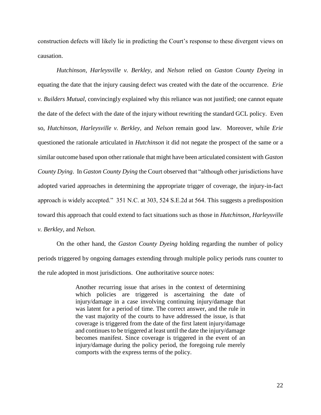construction defects will likely lie in predicting the Court's response to these divergent views on causation.

*Hutchinson, Harleysville v. Berkley*, and *Nelson* relied on *Gaston County Dyeing* in equating the date that the injury causing defect was created with the date of the occurrence. *Erie v. Builders Mutual*, convincingly explained why this reliance was not justified; one cannot equate the date of the defect with the date of the injury without rewriting the standard GCL policy. Even so, *Hutchinson, Harleysville v. Berkley*, and *Nelson* remain good law. Moreover, while *Erie* questioned the rationale articulated in *Hutchinson* it did not negate the prospect of the same or a similar outcome based upon other rationale that might have been articulated consistent with *Gaston County Dying*. In *Gaston County Dying* the Court observed that "although other jurisdictions have adopted varied approaches in determining the appropriate trigger of coverage, the injury-in-fact approach is widely accepted." 351 N.C. at 303, 524 S.E.2d at 564. This suggests a predisposition toward this approach that could extend to fact situations such as those in *Hutchinson, Harleysville v. Berkley*, and *Nelson.*

On the other hand, the *Gaston County Dyeing* holding regarding the number of policy periods triggered by ongoing damages extending through multiple policy periods runs counter to the rule adopted in most jurisdictions. One authoritative source notes:

> Another recurring issue that arises in the context of determining which policies are triggered is ascertaining the date of injury/damage in a case involving continuing injury/damage that was latent for a period of time. The correct answer, and the rule in the vast majority of the courts to have addressed the issue, is that coverage is triggered from the date of the first latent injury/damage and continues to be triggered at least until the date the injury/damage becomes manifest. Since coverage is triggered in the event of an injury/damage during the policy period, the foregoing rule merely comports with the express terms of the policy.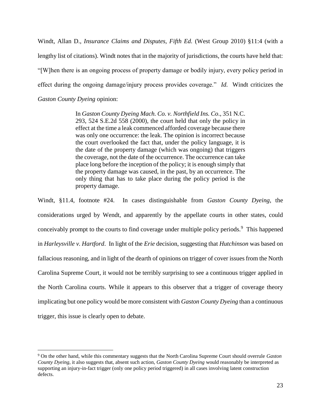Windt, Allan D., *Insurance Claims and Disputes, Fifth Ed.* (West Group 2010) §11:4 (with a lengthy list of citations). Windt notes that in the majority of jurisdictions, the courts have held that: "[W]hen there is an ongoing process of property damage or bodily injury, every policy period in effect during the ongoing damage/injury process provides coverage." *Id.* Windt criticizes the *Gaston County Dyeing* opinion:

> In *Gaston County Dyeing Mach. Co. v. Northfield Ins. Co*., 351 N.C. 293, 524 S.E.2d 558 (2000), the court held that only the policy in effect at the time a leak commenced afforded coverage because there was only one occurrence: the leak. The opinion is incorrect because the court overlooked the fact that, under the policy language, it is the date of the property damage (which was ongoing) that triggers the coverage, not the date of the occurrence. The occurrence can take place long before the inception of the policy; it is enough simply that the property damage was caused, in the past, by an occurrence. The only thing that has to take place during the policy period is the property damage.

Windt, §11.4, footnote #24. In cases distinguishable from *Gaston County Dyeing*, the considerations urged by Wendt, and apparently by the appellate courts in other states, could conceivably prompt to the courts to find coverage under multiple policy periods.<sup>9</sup> This happened in *Harleysville v. Hartford*. In light of the *Erie* decision, suggesting that *Hutchinson* was based on fallacious reasoning, and in light of the dearth of opinions on trigger of cover issues from the North Carolina Supreme Court, it would not be terribly surprising to see a continuous trigger applied in the North Carolina courts. While it appears to this observer that a trigger of coverage theory implicating but one policy would be more consistent with *Gaston County Dyeing* than a continuous trigger, this issue is clearly open to debate.

<sup>9</sup> On the other hand, while this commentary suggests that the North Carolina Supreme Court should overrule *Gaston County Dyeing*, it also suggests that, absent such action, *Gaston County Dyeing* would reasonably be interpreted as supporting an injury-in-fact trigger (only one policy period triggered) in all cases involving latent construction defects.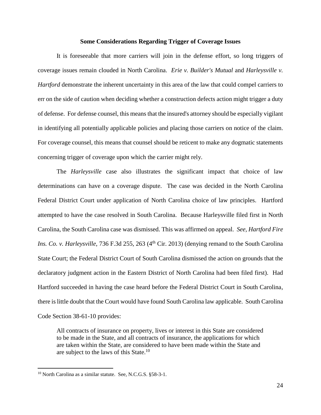#### **Some Considerations Regarding Trigger of Coverage Issues**

It is foreseeable that more carriers will join in the defense effort, so long triggers of coverage issues remain clouded in North Carolina. *Erie v. Builder's Mutual* and *Harleysville v. Hartford* demonstrate the inherent uncertainty in this area of the law that could compel carriers to err on the side of caution when deciding whether a construction defects action might trigger a duty of defense. For defense counsel, this means that the insured's attorney should be especially vigilant in identifying all potentially applicable policies and placing those carriers on notice of the claim. For coverage counsel, this means that counsel should be reticent to make any dogmatic statements concerning trigger of coverage upon which the carrier might rely.

The *Harleysville* case also illustrates the significant impact that choice of law determinations can have on a coverage dispute. The case was decided in the North Carolina Federal District Court under application of North Carolina choice of law principles. Hartford attempted to have the case resolved in South Carolina. Because Harleysville filed first in North Carolina, the South Carolina case was dismissed. This was affirmed on appeal. *See, Hartford Fire Ins. Co. v. Harleysville*, 736 F.3d 255, 263 (4<sup>th</sup> Cir. 2013) (denying remand to the South Carolina State Court; the Federal District Court of South Carolina dismissed the action on grounds that the declaratory judgment action in the Eastern District of North Carolina had been filed first). Had Hartford succeeded in having the case heard before the Federal District Court in South Carolina, there is little doubt that the Court would have found South Carolina law applicable. South Carolina Code Section 38-61-10 provides:

All contracts of insurance on property, lives or interest in this State are considered to be made in the State, and all contracts of insurance, the applications for which are taken within the State, are considered to have been made within the State and are subject to the laws of this State.<sup>10</sup>

<sup>&</sup>lt;sup>10</sup> North Carolina as a similar statute. See, N.C.G.S. §58-3-1.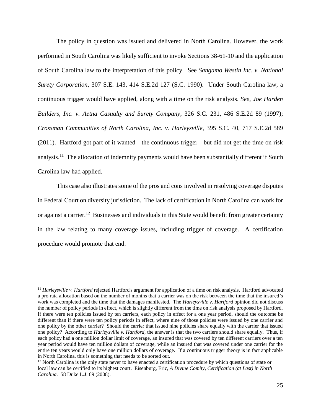The policy in question was issued and delivered in North Carolina. However, the work performed in South Carolina was likely sufficient to invoke Sections 38-61-10 and the application of South Carolina law to the interpretation of this policy. See *Sangamo Westin Inc. v. National Surety Corporation*, 307 S.E. 143, 414 S.E.2d 127 (S.C. 1990). Under South Carolina law, a continuous trigger would have applied, along with a time on the risk analysis. *See, Joe Harden Builders, Inc. v. Aetna Casualty and Surety Company*, 326 S.C. 231, 486 S.E.2d 89 (1997); *Crossman Communities of North Carolina, Inc. v. Harleysville*, 395 S.C. 40, 717 S.E.2d 589 (2011). Hartford got part of it wanted—the continuous trigger—but did not get the time on risk analysis.<sup>11</sup> The allocation of indemnity payments would have been substantially different if South Carolina law had applied.

This case also illustrates some of the pros and cons involved in resolving coverage disputes in Federal Court on diversity jurisdiction. The lack of certification in North Carolina can work for or against a carrier.<sup>12</sup> Businesses and individuals in this State would benefit from greater certainty in the law relating to many coverage issues, including trigger of coverage. A certification procedure would promote that end.

<sup>11</sup> *Harleysville v. Hartford* rejected Hartford's argument for application of a time on risk analysis. Hartford advocated a pro rata allocation based on the number of months that a carrier was on the risk between the time that the insured's work was completed and the time that the damages manifested. The *Harleysville v. Hartford* opinion did not discuss the number of policy periods in effect, which is slightly different from the time on risk analysis proposed by Hartford. If there were ten policies issued by ten carriers, each policy in effect for a one year period, should the outcome be different than if there were ten policy periods in effect, where nine of those policies were issued by one carrier and one policy by the other carrier? Should the carrier that issued nine policies share equally with the carrier that issued one policy? According to *Harleysville v. Hartford,* the answer is that the two carriers should share equally. Thus, if each policy had a one million dollar limit of coverage, an insured that was covered by ten different carriers over a ten year period would have ten million dollars of coverage, while an insured that was covered under one carrier for the entire ten years would only have one million dollars of coverage. If a continuous trigger theory is in fact applicable in North Carolina, this is something that needs to be sorted out.

<sup>&</sup>lt;sup>12</sup> North Carolina is the only state never to have enacted a certification procedure by which questions of state or local law can be certified to its highest court. Eisenburg, Eric, *A Divine Comity, Certification (at Last) in North Carolina.* 58 Duke L.J. 69 (2008).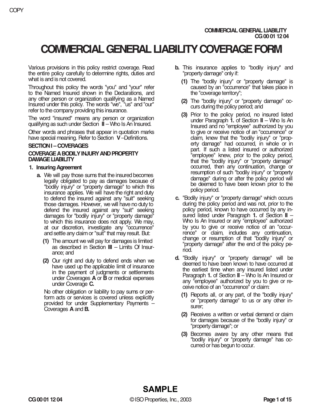# **COMMERCIAL GENERAL LIABILITY COVERAGE FORM**

Various provisions in this policy restrict coverage. Read the entire policy carefully to determine rights, duties and what is and is not covered.

Throughout this policy the words "you" and "your" refer to the Named Insured shown in the Declarations, and any other person or organization qualifying as a Named Insured under this policy. The words "we", "us" and "our" refer to the company providing this insurance.

The word "insured" means any person or organization qualifying as such under Section **II** – Who Is An Insured.

Other words and phrases that appear in quotation marks have special meaning. Refer to Section **V**–Definitions.

# **SECTION I – COVERAGES**

# **COVERAGE A BODILY INJURY AND PROPERTY DAMAGE LIABILITY**

## **1. Insuring Agreement**

- **a.** We will pay those sums that the insured becomes legally obligated to pay as damages because of "bodily injury" or "property damage" to which this insurance applies. We will have the right and duty to defend the insured against any "suit" seeking those damages. However, we will have no duty to defend the insured against any "suit" seeking damages for "bodily injury" or "property damage" to which this insurance does not apply. We may, at our discretion, investigate any "occurrence" and settle any claim or "suit" that may result. But:
	- **(1)** The amount we will pay for damages is limited as described in Section **III** – Limits Of Insurance; and
	- **(2)** Our right and duty to defend ends when we have used up the applicable limit of insurance in the payment of judgments or settlements under Coverages **A** or **B** or medical expenses under Coverage **C.**

No other obligation or liability to pay sums or perform acts or services is covered unless explicitly provided for under Supplementary Payments – Coverages **A** and **B.**

- **b.** This insurance applies to "bodily injury" and "property damage" only if:
	- **(1)** The "bodily injury" or "property damage" is caused by an "occurrence" that takes place in the "coverage territory";
	- **(2)** The "bodily injury" or "property damage" occurs during the policy period; and
	- **(3)** Prior to the policy period, no insured listed under Paragraph **1.** of Section **II** – Who Is An Insured and no "employee" authorized by you to give or receive notice of an "occurrence" or claim, knew that the "bodily injury" or "property damage" had occurred, in whole or in part. If such a listed insured or authorized "employee" knew, prior to the policy period, that the "bodily injury" or "property damage" occurred, then any continuation, change or resumption of such "bodily injury" or "property damage" during or after the policy period will be deemed to have been known prior to the policy period.
- **c.** "Bodily injury" or "property damage" which occurs during the policy period and was not, prior to the policy period, known to have occurred by any insured listed under Paragraph **1.** of Section **II** – Who Is An Insured or any "employee" authorized by you to give or receive notice of an "occurrence" or claim, includes any continuation, change or resumption of that "bodily injury" or "property damage" after the end of the policy period.
- **d.** "Bodily injury" or "property damage" will be deemed to have been known to have occurred at the earliest time when any insured listed under Paragraph **1.** of Section **II** – Who Is An Insured or any "employee" authorized by you to give or receive notice of an "occurrence" or claim:
	- **(1)** Reports all, or any part, of the "bodily injury" or "property damage" to us or any other insurer;
	- **(2)** Receives a written or verbal demand or claim for damages because of the "bodily injury" or "property damage"; or
	- **(3)** Becomes aware by any other means that "bodily injury" or "property damage" has occurred or has begun to occur.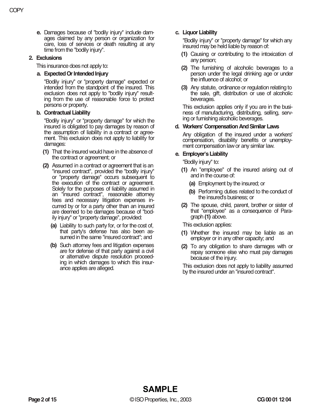**e.** Damages because of "bodily injury" include damages claimed by any person or organization for care, loss of services or death resulting at any time from the "bodily injury".

## **2. Exclusions**

This insurance does not apply to:

## **a. Expected Or Intended Injury**

"Bodily injury" or "property damage" expected or intended from the standpoint of the insured. This exclusion does not apply to "bodily injury" resulting from the use of reasonable force to protect persons or property.

# **b. Contractual Liability**

"Bodily injury" or "property damage" for which the insured is obligated to pay damages by reason of the assumption of liability in a contract or agreement. This exclusion does not apply to liability for damages:

- **(1)** That the insured would have in the absence of the contract or agreement; or
- **(2)** Assumed in a contract or agreement that is an "insured contract", provided the "bodily injury" or "property damage" occurs subsequent to the execution of the contract or agreement. Solely for the purposes of liability assumed in an "insured contract", reasonable attorney fees and necessary litigation expenses incurred by or for a party other than an insured are deemed to be damages because of "bodily injury" or "property damage", provided:
	- **(a)** Liability to such party for, or for the cost of, that party's defense has also been assumed in the same "insured contract"; and
	- **(b)** Such attorney fees and litigation expenses are for defense of that party against a civil or alternative dispute resolution proceeding in which damages to which this insurance applies are alleged.

# **c. Liquor Liability**

"Bodily injury" or "property damage" for which any insured may be held liable by reason of:

- **(1)** Causing or contributing to the intoxication of any person;
- **(2)** The furnishing of alcoholic beverages to a person under the legal drinking age or under the influence of alcohol; or
- **(3)** Any statute, ordinance or regulation relating to the sale, gift, distribution or use of alcoholic beverages.

This exclusion applies only if you are in the business of manufacturing, distributing, selling, serving or furnishing alcoholic beverages.

# **d. Workers' Compensation And Similar Laws**

Any obligation of the insured under a workers' compensation, disability benefits or unemployment compensation law or any similar law.

## **e. Employer's Liability**

"Bodily injury" to:

- **(1)** An "employee" of the insured arising out of and in the course of:
	- **(a)** Employment by the insured; or
	- **(b)** Performing duties related to the conduct of the insured's business; or
- **(2)** The spouse, child, parent, brother or sister of that "employee" as a consequence of Paragraph **(1)** above.

This exclusion applies:

- **(1)** Whether the insured may be liable as an employer or in any other capacity; and
- **(2)** To any obligation to share damages with or repay someone else who must pay damages because of the injury.

This exclusion does not apply to liability assumed by the insured under an "insured contract".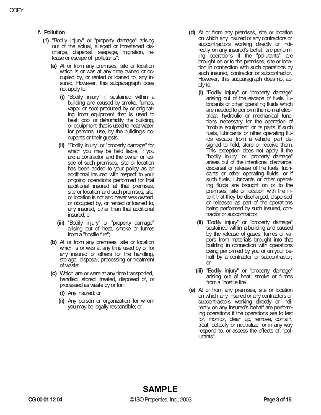- **f. Pollution** 
	- **(1)** "Bodily injury" or "property damage" arising out of the actual, alleged or threatened discharge, dispersal, seepage, migration, release or escape of "pollutants":
		- **(a)** At or from any premises, site or location which is or was at any time owned or occupied by, or rented or loaned to, any insured. However, this subparagraph does not apply to:
			- **(i)** "Bodily injury" if sustained within a building and caused by smoke, fumes, vapor or soot produced by or originating from equipment that is used to heat, cool or dehumidify the building, or equipment that is used to heat water for personal use, by the building's occupants or their guests;
			- **(ii)** "Bodily injury" or "property damage" for which you may be held liable, if you are a contractor and the owner or lessee of such premises, site or location has been added to your policy as an additional insured with respect to your ongoing operations performed for that additional insured at that premises, site or location and such premises, site or location is not and never was owned or occupied by, or rented or loaned to, any insured, other than that additional insured; or
			- **(iii)** "Bodily injury" or "property damage" arising out of heat, smoke or fumes from a "hostile fire";
		- **(b)** At or from any premises, site or location which is or was at any time used by or for any insured or others for the handling, storage, disposal, processing or treatment of waste;
		- **(c)** Which are or were at any time transported, handled, stored, treated, disposed of, or processed as waste by or for:
			- **(i)** Any insured; or
			- **(ii)** Any person or organization for whom you may be legally responsible; or
- **(d)** At or from any premises, site or location on which any insured or any contractors or subcontractors working directly or indirectly on any insured's behalf are performing operations if the "pollutants" are brought on or to the premises, site or location in connection with such operations by such insured, contractor or subcontractor. However, this subparagraph does not apply to:
	- **(i)** "Bodily injury" or "property damage" arising out of the escape of fuels, lubricants or other operating fluids which are needed to perform the normal electrical, hydraulic or mechanical functions necessary for the operation of "mobile equipment" or its parts, if such fuels, lubricants or other operating fluids escape from a vehicle part designed to hold, store or receive them. This exception does not apply if the "bodily injury" or "property damage" arises out of the intentional discharge, dispersal or release of the fuels, lubricants or other operating fluids, or if such fuels, lubricants or other operating fluids are brought on or to the premises, site or location with the intent that they be discharged, dispersed or released as part of the operations being performed by such insured, contractor or subcontractor;
	- **(ii)** "Bodily injury" or "property damage" sustained within a building and caused by the release of gases, fumes or vapors from materials brought into that building in connection with operations being performed by you or on your behalf by a contractor or subcontractor; or
	- **(iii)** "Bodily injury" or "property damage" arising out of heat, smoke or fumes from a "hostile fire".
- **(e)** At or from any premises, site or location on which any insured or any contractors or subcontractors working directly or indirectly on any insured's behalf are performing operations if the operations are to test for, monitor, clean up, remove, contain, treat, detoxify or neutralize, or in any way respond to, or assess the effects of, "pollutants".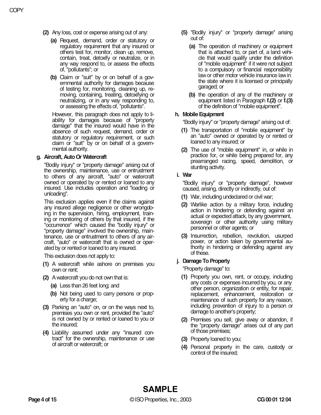- **(2)** Any loss, cost or expense arising out of any:
	- **(a)** Request, demand, order or statutory or regulatory requirement that any insured or others test for, monitor, clean up, remove, contain, treat, detoxify or neutralize, or in any way respond to, or assess the effects of, "pollutants"; or
	- **(b)** Claim or "suit" by or on behalf of a governmental authority for damages because of testing for, monitoring, cleaning up, removing, containing, treating, detoxifying or neutralizing, or in any way responding to, or assessing the effects of, "pollutants".

However, this paragraph does not apply to liability for damages because of "property damage" that the insured would have in the absence of such request, demand, order or statutory or regulatory requirement, or such claim or "suit" by or on behalf of a governmental authority.

## **g. Aircraft, Auto Or Watercraft**

"Bodily injury" or "property damage" arising out of the ownership, maintenance, use or entrustment to others of any aircraft, "auto" or watercraft owned or operated by or rented or loaned to any insured. Use includes operation and "loading or unloading".

This exclusion applies even if the claims against any insured allege negligence or other wrongdoing in the supervision, hiring, employment, training or monitoring of others by that insured, if the "occurrence" which caused the "bodily injury" or "property damage" involved the ownership, maintenance, use or entrustment to others of any aircraft, "auto" or watercraft that is owned or operated by or rented or loaned to any insured.

This exclusion does not apply to:

- **(1)** A watercraft while ashore on premises you own or rent;
- **(2)** A watercraft you do not own that is:
	- **(a)** Less than 26 feet long; and
	- **(b)** Not being used to carry persons or property for a charge;
- **(3)** Parking an "auto" on, or on the ways next to, premises you own or rent, provided the "auto" is not owned by or rented or loaned to you or the insured;
- **(4)** Liability assumed under any "insured contract" for the ownership, maintenance or use of aircraft or watercraft; or
- **(5)** "Bodily injury" or "property damage" arising out of:
	- **(a)** The operation of machinery or equipment that is attached to, or part of, a land vehicle that would qualify under the definition of "mobile equipment" if it were not subject to a compulsory or financial responsibility law or other motor vehicle insurance law in the state where it is licensed or principally garaged; or
	- **(b)** the operation of any of the machinery or equipment listed in Paragraph **f.(2)** or **f.(3)** of the definition of "mobile equipment".

## **h. Mobile Equipment**

"Bodily injury" or "property damage" arising out of:

- **(1)** The transportation of "mobile equipment" by an "auto" owned or operated by or rented or loaned to any insured; or
- **(2)** The use of "mobile equipment" in, or while in practice for, or while being prepared for, any prearranged racing, speed, demolition, or stunting activity.
- **i. War**

"Bodily injury" or "property damage", however caused, arising, directly or indirectly, out of:

- **(1)** War, including undeclared or civil war;
- **(2)** Warlike action by a military force, including action in hindering or defending against an actual or expected attack, by any government, sovereign or other authority using military personnel or other agents; or
- **(3)** Insurrection, rebellion, revolution, usurped power, or action taken by governmental authority in hindering or defending against any of these.

## **j. Damage To Property**

"Property damage" to:

- **(1)** Property you own, rent, or occupy, including any costs or expenses incurred by you, or any other person, organization or entity, for repair, replacement, enhancement, restoration or maintenance of such property for any reason, including prevention of injury to a person or damage to another's property;
- **(2)** Premises you sell, give away or abandon, if the "property damage" arises out of any part of those premises;
- **(3)** Property loaned to you;
- **(4)** Personal property in the care, custody or control of the insured;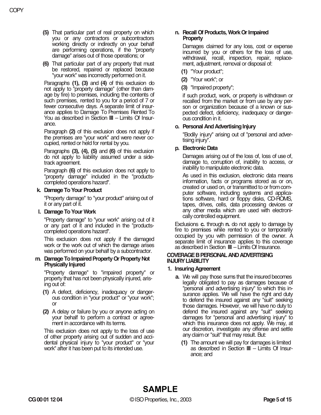- **(5)** That particular part of real property on which you or any contractors or subcontractors working directly or indirectly on your behalf are performing operations, if the "property damage" arises out of those operations; or
- **(6)** That particular part of any property that must be restored, repaired or replaced because "your work" was incorrectly performed on it.

Paragraphs **(1), (3)** and **(4)** of this exclusion do not apply to "property damage" (other than damage by fire) to premises, including the contents of such premises, rented to you for a period of 7 or fewer consecutive days. A separate limit of insurance applies to Damage To Premises Rented To You as described in Section **III** – Limits Of Insurance.

Paragraph **(2)** of this exclusion does not apply if the premises are "your work" and were never occupied, rented or held for rental by you.

Paragraphs **(3), (4), (5)** and **(6)** of this exclusion do not apply to liability assumed under a sidetrack agreement.

Paragraph **(6)** of this exclusion does not apply to "property damage" included in the "productscompleted operations hazard".

# **k. Damage To Your Product**

"Property damage" to "your product" arising out of it or any part of it.

## **l. Damage To Your Work**

"Property damage" to "your work" arising out of it or any part of it and included in the "productscompleted operations hazard".

This exclusion does not apply if the damaged work or the work out of which the damage arises was performed on your behalf by a subcontractor.

#### **m. Damage To Impaired Property Or Property Not Physically Injured**

"Property damage" to "impaired property" or property that has not been physically injured, arising out of:

- **(1)** A defect, deficiency, inadequacy or dangerous condition in "your product" or "your work"; or
- **(2)** A delay or failure by you or anyone acting on your behalf to perform a contract or agreement in accordance with its terms.

This exclusion does not apply to the loss of use of other property arising out of sudden and accidental physical injury to "your product" or "your work" after it has been put to its intended use.

## **n. Recall Of Products, Work Or Impaired Property**

Damages claimed for any loss, cost or expense incurred by you or others for the loss of use, withdrawal, recall, inspection, repair, replacement, adjustment, removal or disposal of:

**(1)** "Your product";

**(2)** "Your work"; or

**(3)** "Impaired property";

if such product, work, or property is withdrawn or recalled from the market or from use by any person or organization because of a known or suspected defect, deficiency, inadequacy or dangerous condition in it.

# **o. Personal And Advertising Injury**

"Bodily injury" arising out of "personal and advertising injury".

# **p. Electronic Data**

Damages arising out of the loss of, loss of use of, damage to, corruption of, inability to access, or inability to manipulate electronic data.

As used in this exclusion, electronic data means information, facts or programs stored as or on, created or used on, or transmitted to or from computer software, including systems and applications software, hard or floppy disks, CD-ROMS, tapes, drives, cells, data processing devices or any other media which are used with electronically controlled equipment.

Exclusions **c.** through **n.** do not apply to damage by fire to premises while rented to you or temporarily occupied by you with permission of the owner. A separate limit of insurance applies to this coverage as described in Section **III** – Limits Of Insurance.

#### **COVERAGE B PERSONAL AND ADVERTISING INJURY LIABILITY**

## **1. Insuring Agreement**

- **a.** We will pay those sums that the insured becomes legally obligated to pay as damages because of "personal and advertising injury" to which this insurance applies. We will have the right and duty to defend the insured against any "suit" seeking those damages. However, we will have no duty to defend the insured against any "suit" seeking damages for "personal and advertising injury" to which this insurance does not apply. We may, at our discretion, investigate any offense and settle any claim or "suit" that may result. But:
	- **(1)** The amount we will pay for damages is limited as described in Section **III** – Limits Of Insurance; and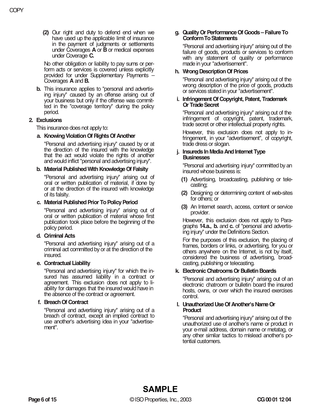**(2)** Our right and duty to defend end when we have used up the applicable limit of insurance in the payment of judgments or settlements under Coverages **A** or **B** or medical expenses under Coverage **C.**

No other obligation or liability to pay sums or perform acts or services is covered unless explicitly provided for under Supplementary Payments – Coverages **A** and **B.** 

**b.** This insurance applies to "personal and advertising injury" caused by an offense arising out of your business but only if the offense was committed in the "coverage territory" during the policy period.

# **2. Exclusions**

This insurance does not apply to:

## **a. Knowing Violation Of Rights Of Another**

"Personal and advertising injury" caused by or at the direction of the insured with the knowledge that the act would violate the rights of another and would inflict "personal and advertising injury".

#### **b. Material Published With Knowledge Of Falsity**

"Personal and advertising injury" arising out of oral or written publication of material, if done by or at the direction of the insured with knowledge of its falsity.

#### **c. Material Published Prior To Policy Period**

"Personal and advertising injury" arising out of oral or written publication of material whose first publication took place before the beginning of the policy period.

#### **d. Criminal Acts**

"Personal and advertising injury" arising out of a criminal act committed by or at the direction of the insured.

#### **e. Contractual Liability**

"Personal and advertising injury" for which the insured has assumed liability in a contract or agreement. This exclusion does not apply to liability for damages that the insured would have in the absence of the contract or agreement.

#### **f. Breach Of Contract**

"Personal and advertising injury" arising out of a breach of contract, except an implied contract to use another's advertising idea in your "advertisement".

# **g. Quality Or Performance Of Goods – Failure To Conform To Statements**

"Personal and advertising injury" arising out of the failure of goods, products or services to conform with any statement of quality or performance made in your "advertisement".

# **h. Wrong Description Of Prices**

"Personal and advertising injury" arising out of the wrong description of the price of goods, products or services stated in your "advertisement".

## **i. Infringement Of Copyright, Patent, Trademark Or Trade Secret**

"Personal and advertising injury" arising out of the infringement of copyright, patent, trademark, trade secret or other intellectual property rights.

However, this exclusion does not apply to infringement, in your "advertisement", of copyright, trade dress or slogan.

## **j. Insureds In Media And Internet Type Businesses**

"Personal and advertising injury" committed by an insured whose business is:

- **(1)** Advertising, broadcasting, publishing or telecasting;
- **(2)** Designing or determining content of web-sites for others; or
- **(3)** An Internet search, access, content or service provider.

However, this exclusion does not apply to Paragraphs **14.a., b.** and **c.** of "personal and advertising injury" under the Definitions Section.

For the purposes of this exclusion, the placing of frames, borders or links, or advertising, for you or others anywhere on the Internet, is not by itself, considered the business of advertising, broadcasting, publishing or telecasting.

# **k. Electronic Chatrooms Or Bulletin Boards**

"Personal and advertising injury" arising out of an electronic chatroom or bulletin board the insured hosts, owns, or over which the insured exercises control.

## **l. Unauthorized Use Of Another's Name Or Product**

"Personal and advertising injury" arising out of the unauthorized use of another's name or product in your e-mail address, domain name or metatag, or any other similar tactics to mislead another's potential customers.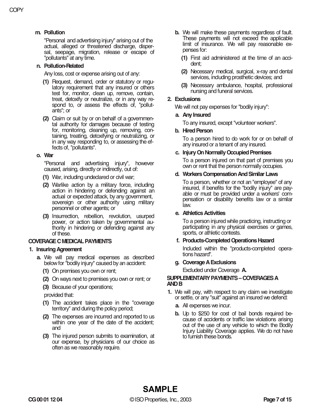# **m. Pollution**

"Personal and advertising injury" arising out of the actual, alleged or threatened discharge, dispersal, seepage, migration, release or escape of "pollutants" at any time.

#### **n. Pollution-Related**

Any loss, cost or expense arising out of any:

- **(1)** Request, demand, order or statutory or regulatory requirement that any insured or others test for, monitor, clean up, remove, contain, treat, detoxify or neutralize, or in any way respond to, or assess the effects of, "pollutants"; or
- **(2)** Claim or suit by or on behalf of a governmental authority for damages because of testing for, monitoring, cleaning up, removing, containing, treating, detoxifying or neutralizing, or in any way responding to, or assessing the effects of, "pollutants".

#### **o. War**

"Personal and advertising injury", however caused, arising, directly or indirectly, out of:

- **(1)** War, including undeclared or civil war;
- **(2)** Warlike action by a military force, including action in hindering or defending against an actual or expected attack, by any government, sovereign or other authority using military personnel or other agents; or
- **(3)** Insurrection, rebellion, revolution, usurped power, or action taken by governmental authority in hindering or defending against any of these.

## **COVERAGE C MEDICAL PAYMENTS**

## **1. Insuring Agreement**

- **a.** We will pay medical expenses as described below for "bodily injury" caused by an accident:
	- **(1)** On premises you own or rent;
	- **(2)** On ways next to premises you own or rent; or
	- **(3)** Because of your operations;

provided that:

- **(1)** The accident takes place in the "coverage territory" and during the policy period;
- **(2)** The expenses are incurred and reported to us within one year of the date of the accident; and
- **(3)** The injured person submits to examination, at our expense, by physicians of our choice as often as we reasonably require.
- **b.** We will make these payments regardless of fault. These payments will not exceed the applicable limit of insurance. We will pay reasonable expenses for:
	- **(1)** First aid administered at the time of an accident;
	- **(2)** Necessary medical, surgical, x-ray and dental services, including prosthetic devices; and
	- **(3)** Necessary ambulance, hospital, professional nursing and funeral services.

## **2. Exclusions**

We will not pay expenses for "bodily injury":

#### **a. Any Insured**

To any insured, except "volunteer workers".

#### **b. Hired Person**

To a person hired to do work for or on behalf of any insured or a tenant of any insured.

#### **c. Injury On Normally Occupied Premises**

To a person injured on that part of premises you own or rent that the person normally occupies.

#### **d. Workers Compensation And Similar Laws**

To a person, whether or not an "employee" of any insured, if benefits for the "bodily injury" are payable or must be provided under a workers' compensation or disability benefits law or a similar law.

## **e. Athletics Activities**

To a person injured while practicing, instructing or participating in any physical exercises or games, sports, or athletic contests.

## **f. Products-Completed Operations Hazard**

Included within the "products-completed operations hazard".

## **g. Coverage A Exclusions**

Excluded under Coverage **A.**

#### **SUPPLEMENTARY PAYMENTS – COVERAGES A AND B**

- **1.** We will pay, with respect to any claim we investigate or settle, or any "suit" against an insured we defend:
	- **a.** All expenses we incur.
	- **b.** Up to \$250 for cost of bail bonds required because of accidents or traffic law violations arising out of the use of any vehicle to which the Bodily Injury Liability Coverage applies. We do not have to furnish these bonds.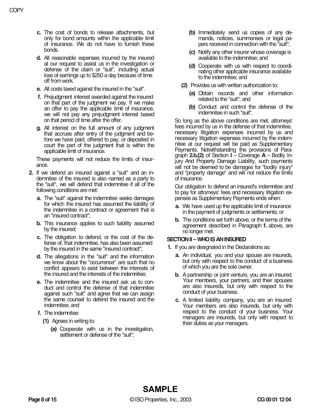- **c.** The cost of bonds to release attachments, but only for bond amounts within the applicable limit of insurance. We do not have to furnish these bonds.
- **d.** All reasonable expenses incurred by the insured at our request to assist us in the investigation or defense of the claim or "suit", including actual loss of earnings up to \$250 a day because of time off from work.
- **e.** All costs taxed against the insured in the "suit".
- **f.** Prejudgment interest awarded against the insured on that part of the judgment we pay. If we make an offer to pay the applicable limit of insurance, we will not pay any prejudgment interest based on that period of time after the offer.
- **g.** All interest on the full amount of any judgment that accrues after entry of the judgment and before we have paid, offered to pay, or deposited in court the part of the judgment that is within the applicable limit of insurance.

These payments will not reduce the limits of insurance.

- **2.** If we defend an insured against a "suit" and an indemnitee of the insured is also named as a party to the "suit", we will defend that indemnitee if all of the following conditions are met:
	- **a.** The "suit" against the indemnitee seeks damages for which the insured has assumed the liability of the indemnitee in a contract or agreement that is an "insured contract";
	- **b.** This insurance applies to such liability assumed by the insured;
	- **c.** The obligation to defend, or the cost of the defense of, that indemnitee, has also been assumed by the insured in the same "insured contract";
	- **d.** The allegations in the "suit" and the information we know about the "occurrence" are such that no conflict appears to exist between the interests of the insured and the interests of the indemnitee;
	- **e.** The indemnitee and the insured ask us to conduct and control the defense of that indemnitee against such "suit" and agree that we can assign the same counsel to defend the insured and the indemnitee; and
	- **f.** The indemnitee:
		- **(1)** Agrees in writing to:
			- **(a)** Cooperate with us in the investigation, settlement or defense of the "suit";
- **(b)** Immediately send us copies of any demands, notices, summonses or legal papers received in connection with the "suit";
- **(c)** Notify any other insurer whose coverage is available to the indemnitee; and
- **(d)** Cooperate with us with respect to coordinating other applicable insurance available to the indemnitee; and
- **(2)** Provides us with written authorization to:
	- **(a)** Obtain records and other information related to the "suit"; and
	- **(b)** Conduct and control the defense of the indemnitee in such "suit".

So long as the above conditions are met, attorneys' fees incurred by us in the defense of that indemnitee, necessary litigation expenses incurred by us and necessary litigation expenses incurred by the indemnitee at our request will be paid as Supplementary Payments. Notwithstanding the provisions of Paragraph **2.b.(2)** of Section **I** – Coverage **A** – Bodily Injury And Property Damage Liability, such payments will not be deemed to be damages for "bodily injury" and "property damage" and will not reduce the limits of insurance.

Our obligation to defend an insured's indemnitee and to pay for attorneys' fees and necessary litigation expenses as Supplementary Payments ends when:

- **a.** We have used up the applicable limit of insurance in the payment of judgments or settlements; or
- **b.** The conditions set forth above, or the terms of the agreement described in Paragraph **f.** above, are no longer met.

# **SECTION II – WHO IS AN INSURED**

- **1.** If you are designated in the Declarations as:
	- **a.** An individual, you and your spouse are insureds, but only with respect to the conduct of a business of which you are the sole owner.
	- **b.** A partnership or joint venture, you are an insured. Your members, your partners, and their spouses are also insureds, but only with respect to the conduct of your business.
	- **c.** A limited liability company, you are an insured. Your members are also insureds, but only with respect to the conduct of your business. Your managers are insureds, but only with respect to their duties as your managers.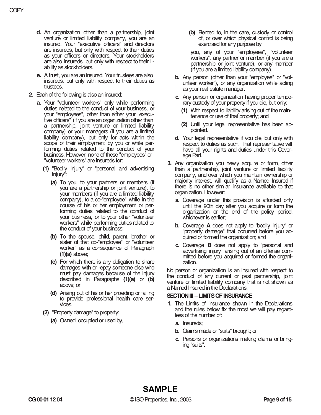- **d.** An organization other than a partnership, joint venture or limited liability company, you are an insured. Your "executive officers" and directors are insureds, but only with respect to their duties as your officers or directors. Your stockholders are also insureds, but only with respect to their liability as stockholders.
- **e.** A trust, you are an insured. Your trustees are also insureds, but only with respect to their duties as trustees.
- **2.** Each of the following is also an insured:
	- **a.** Your "volunteer workers" only while performing duties related to the conduct of your business, or your "employees", other than either your "executive officers" (if you are an organization other than a partnership, joint venture or limited liability company) or your managers (if you are a limited liability company), but only for acts within the scope of their employment by you or while performing duties related to the conduct of your business. However, none of these "employees" or "volunteer workers" are insureds for:
		- **(1)** "Bodily injury" or "personal and advertising injury":
			- **(a)** To you, to your partners or members (if you are a partnership or joint venture), to your members (if you are a limited liability company), to a co-"employee" while in the course of his or her employment or performing duties related to the conduct of your business, or to your other "volunteer workers" while performing duties related to the conduct of your business;
			- **(b)** To the spouse, child, parent, brother or sister of that co-"employee" or "volunteer worker" as a consequence of Paragraph **(1)(a)** above;
			- **(c)** For which there is any obligation to share damages with or repay someone else who must pay damages because of the injury described in Paragraphs **(1)(a)** or **(b)** above; or
			- **(d)** Arising out of his or her providing or failing to provide professional health care services.
		- **(2)** "Property damage" to property:
			- **(a)** Owned, occupied or used by,

**(b)** Rented to, in the care, custody or control of, or over which physical control is being exercised for any purpose by

you, any of your "employees", "volunteer workers", any partner or member (if you are a partnership or joint venture), or any member (if you are a limited liability company).

- **b.** Any person (other than your "employee" or "volunteer worker"), or any organization while acting as your real estate manager.
- **c.** Any person or organization having proper temporary custody of your property if you die, but only:
	- **(1)** With respect to liability arising out of the maintenance or use of that property; and
	- **(2)** Until your legal representative has been appointed.
- **d.** Your legal representative if you die, but only with respect to duties as such. That representative will have all your rights and duties under this Coverage Part.
- **3.** Any organization you newly acquire or form, other than a partnership, joint venture or limited liability company, and over which you maintain ownership or majority interest, will qualify as a Named Insured if there is no other similar insurance available to that organization. However:
	- **a.** Coverage under this provision is afforded only until the 90th day after you acquire or form the organization or the end of the policy period, whichever is earlier;
	- **b.** Coverage **A** does not apply to "bodily injury" or "property damage" that occurred before you acquired or formed the organization; and
	- **c.** Coverage **B** does not apply to "personal and advertising injury" arising out of an offense committed before you acquired or formed the organization.

No person or organization is an insured with respect to the conduct of any current or past partnership, joint venture or limited liability company that is not shown as a Named Insured in the Declarations.

## **SECTION III – LIMITS OF INSURANCE**

- **1.** The Limits of Insurance shown in the Declarations and the rules below fix the most we will pay regardless of the number of:
	- **a.** Insureds;
	- **b.** Claims made or "suits" brought; or
	- **c.** Persons or organizations making claims or bringing "suits".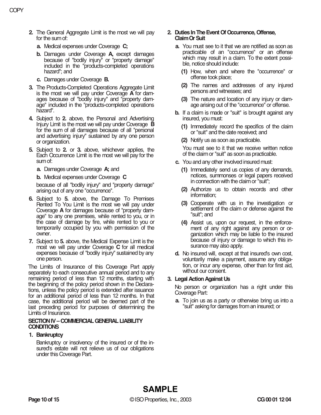- **2.** The General Aggregate Limit is the most we will pay for the sum of:
	- **a.** Medical expenses under Coverage **C;**
	- **b.** Damages under Coverage **A,** except damages because of "bodily injury" or "property damage" included in the "products-completed operations hazard"; and
	- **c.** Damages under Coverage **B.**
- **3.** The Products-Completed Operations Aggregate Limit is the most we will pay under Coverage **A** for damages because of "bodily injury" and "property damage" included in the "products-completed operations hazard".
- **4.** Subject to **2.** above, the Personal and Advertising Injury Limit is the most we will pay under Coverage **B** for the sum of all damages because of all "personal and advertising injury" sustained by any one person or organization.
- **5.** Subject to **2.** or **3.** above, whichever applies, the Each Occurrence Limit is the most we will pay for the sum of:

**a.** Damages under Coverage **A;** and

**b.** Medical expenses under Coverage **C**

because of all "bodily injury" and "property damage" arising out of any one "occurrence".

- **6.** Subject to **5.** above, the Damage To Premises Rented To You Limit is the most we will pay under Coverage **A** for damages because of "property damage" to any one premises, while rented to you, or in the case of damage by fire, while rented to you or temporarily occupied by you with permission of the owner.
- **7.** Subject to **5.** above, the Medical Expense Limit is the most we will pay under Coverage **C** for all medical expenses because of "bodily injury" sustained by any one person.

The Limits of Insurance of this Coverage Part apply separately to each consecutive annual period and to any remaining period of less than 12 months, starting with the beginning of the policy period shown in the Declarations, unless the policy period is extended after issuance for an additional period of less than 12 months. In that case, the additional period will be deemed part of the last preceding period for purposes of determining the Limits of Insurance.

#### **SECTION IV – COMMERCIAL GENERAL LIABILITY CONDITIONS**

# **1. Bankruptcy**

Bankruptcy or insolvency of the insured or of the insured's estate will not relieve us of our obligations under this Coverage Part.

## **2. Duties In The Event Of Occurrence, Offense, Claim Or Suit**

- **a.** You must see to it that we are notified as soon as practicable of an "occurrence" or an offense which may result in a claim. To the extent possible, notice should include:
	- **(1)** How, when and where the "occurrence" or offense took place;
	- **(2)** The names and addresses of any injured persons and witnesses; and
	- **(3)** The nature and location of any injury or damage arising out of the "occurrence" or offense.
- **b.** If a claim is made or "suit" is brought against any insured, you must:
	- **(1)** Immediately record the specifics of the claim or "suit" and the date received; and
	- **(2)** Notify us as soon as practicable.

You must see to it that we receive written notice of the claim or "suit" as soon as practicable.

- **c.** You and any other involved insured must:
	- **(1)** Immediately send us copies of any demands, notices, summonses or legal papers received in connection with the claim or "suit";
	- **(2)** Authorize us to obtain records and other information;
	- **(3)** Cooperate with us in the investigation or settlement of the claim or defense against the "suit"; and
	- **(4)** Assist us, upon our request, in the enforcement of any right against any person or organization which may be liable to the insured because of injury or damage to which this insurance may also apply.
- **d.** No insured will, except at that insured's own cost, voluntarily make a payment, assume any obligation, or incur any expense, other than for first aid, without our consent.

# **3. Legal Action Against Us**

No person or organization has a right under this Coverage Part:

**a.** To join us as a party or otherwise bring us into a "suit" asking for damages from an insured; or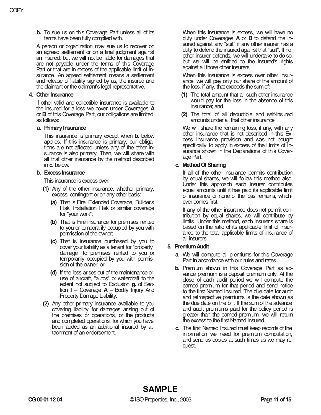**b.** To sue us on this Coverage Part unless all of its terms have been fully complied with.

A person or organization may sue us to recover on an agreed settlement or on a final judgment against an insured; but we will not be liable for damages that are not payable under the terms of this Coverage Part or that are in excess of the applicable limit of insurance. An agreed settlement means a settlement and release of liability signed by us, the insured and the claimant or the claimant's legal representative.

## **4. Other Insurance**

If other valid and collectible insurance is available to the insured for a loss we cover under Coverages **A** or **B** of this Coverage Part, our obligations are limited as follows:

## **a. Primary Insurance**

This insurance is primary except when **b.** below applies. If this insurance is primary, our obligations are not affected unless any of the other insurance is also primary. Then, we will share with all that other insurance by the method described in **c.** below.

# **b. Excess Insurance**

This insurance is excess over:

- **(1)** Any of the other insurance, whether primary, excess, contingent or on any other basis:
	- **(a)** That is Fire, Extended Coverage, Builder's Risk, Installation Risk or similar coverage for "your work";
	- **(b)** That is Fire insurance for premises rented to you or temporarily occupied by you with permission of the owner;
	- **(c)** That is insurance purchased by you to cover your liability as a tenant for "property damage" to premises rented to you or temporarily occupied by you with permission of the owner; or
	- **(d)** If the loss arises out of the maintenance or use of aircraft, "autos" or watercraft to the extent not subject to Exclusion **g.** of Section **I** – Coverage **A** – Bodily Injury And Property Damage Liability.
- **(2)** Any other primary insurance available to you covering liability for damages arising out of the premises or operations, or the products and completed operations, for which you have been added as an additional insured by attachment of an endorsement.

When this insurance is excess, we will have no duty under Coverages **A** or **B** to defend the insured against any "suit" if any other insurer has a duty to defend the insured against that "suit". If no other insurer defends, we will undertake to do so, but we will be entitled to the insured's rights against all those other insurers.

When this insurance is excess over other insurance, we will pay only our share of the amount of the loss, if any, that exceeds the sum of:

- **(1)** The total amount that all such other insurance would pay for the loss in the absence of this insurance; and
- **(2)** The total of all deductible and self-insured amounts under all that other insurance.

We will share the remaining loss, if any, with any other insurance that is not described in this Excess Insurance provision and was not bought specifically to apply in excess of the Limits of Insurance shown in the Declarations of this Coverage Part.

# **c. Method Of Sharing**

If all of the other insurance permits contribution by equal shares, we will follow this method also. Under this approach each insurer contributes equal amounts until it has paid its applicable limit of insurance or none of the loss remains, whichever comes first.

If any of the other insurance does not permit contribution by equal shares, we will contribute by limits. Under this method, each insurer's share is based on the ratio of its applicable limit of insurance to the total applicable limits of insurance of all insurers.

# **5. Premium Audit**

- **a.** We will compute all premiums for this Coverage Part in accordance with our rules and rates.
- **b.** Premium shown in this Coverage Part as advance premium is a deposit premium only. At the close of each audit period we will compute the earned premium for that period and send notice to the first Named Insured. The due date for audit and retrospective premiums is the date shown as the due date on the bill. If the sum of the advance and audit premiums paid for the policy period is greater than the earned premium, we will return the excess to the first Named Insured.
- **c.** The first Named Insured must keep records of the information we need for premium computation, and send us copies at such times as we may request.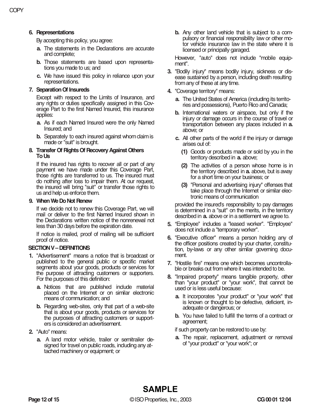# **6. Representations**

By accepting this policy, you agree:

- **a.** The statements in the Declarations are accurate and complete;
- **b.** Those statements are based upon representations you made to us; and
- **c.** We have issued this policy in reliance upon your representations.

# **7. Separation Of Insureds**

Except with respect to the Limits of Insurance, and any rights or duties specifically assigned in this Coverage Part to the first Named Insured, this insurance applies:

- **a.** As if each Named Insured were the only Named Insured; and
- **b.** Separately to each insured against whom claim is made or "suit" is brought.

#### **8. Transfer Of Rights Of Recovery Against Others To Us**

If the insured has rights to recover all or part of any payment we have made under this Coverage Part, those rights are transferred to us. The insured must do nothing after loss to impair them. At our request, the insured will bring "suit" or transfer those rights to us and help us enforce them.

## **9. When We Do Not Renew**

If we decide not to renew this Coverage Part, we will mail or deliver to the first Named Insured shown in the Declarations written notice of the nonrenewal not less than 30 days before the expiration date.

If notice is mailed, proof of mailing will be sufficient proof of notice.

## **SECTION V – DEFINITIONS**

- **1.** "Advertisement" means a notice that is broadcast or published to the general public or specific market segments about your goods, products or services for the purpose of attracting customers or supporters. For the purposes of this definition:
	- **a.** Notices that are published include material placed on the Internet or on similar electronic means of communication; and
	- **b.** Regarding web-sites, only that part of a web-site that is about your goods, products or services for the purposes of attracting customers or supporters is considered an advertisement.
- **2.** "Auto" means:
	- **a.** A land motor vehicle, trailer or semitrailer designed for travel on public roads, including any attached machinery or equipment; or

**b.** Any other land vehicle that is subject to a compulsory or financial responsibility law or other motor vehicle insurance law in the state where it is licensed or principally garaged.

However, "auto" does not include "mobile equipment".

- **3.** "Bodily injury" means bodily injury, sickness or disease sustained by a person, including death resulting from any of these at any time.
- **4.** "Coverage territory" means:
	- **a.** The United States of America (including its territories and possessions), Puerto Rico and Canada;
	- **b.** International waters or airspace, but only if the injury or damage occurs in the course of travel or transportation between any places included in **a.** above; or
	- **c.** All other parts of the world if the injury or damage arises out of:
		- **(1)** Goods or products made or sold by you in the territory described in **a.** above;
		- **(2)** The activities of a person whose home is in the territory described in **a.** above, but is away for a short time on your business; or
		- **(3)** "Personal and advertising injury" offenses that take place through the Internet or similar electronic means of communication

provided the insured's responsibility to pay damages is determined in a "suit" on the merits, in the territory described in **a.** above or in a settlement we agree to.

- **5.** "Employee" includes a "leased worker". "Employee" does not include a "temporary worker".
- **6.** "Executive officer" means a person holding any of the officer positions created by your charter, constitution, by-laws or any other similar governing document.
- **7.** "Hostile fire" means one which becomes uncontrollable or breaks out from where it was intended to be.
- **8.** "Impaired property" means tangible property, other than "your product" or "your work", that cannot be used or is less useful because:
	- **a.** It incorporates "your product" or "your work" that is known or thought to be defective, deficient, inadequate or dangerous; or
	- **b.** You have failed to fulfill the terms of a contract or agreement;

if such property can be restored to use by:

**a.** The repair, replacement, adjustment or removal of "your product" or "your work"; or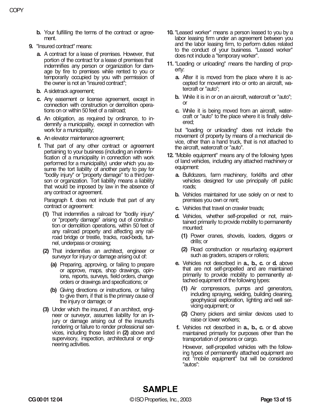- **b.** Your fulfilling the terms of the contract or agreement.
- **9.** "Insured contract" means:
	- **a.** A contract for a lease of premises. However, that portion of the contract for a lease of premises that indemnifies any person or organization for damage by fire to premises while rented to you or temporarily occupied by you with permission of the owner is not an "insured contract";
	- **b.** A sidetrack agreement;
	- **c.** Any easement or license agreement, except in connection with construction or demolition operations on or within 50 feet of a railroad;
	- **d.** An obligation, as required by ordinance, to indemnify a municipality, except in connection with work for a municipality;
	- **e.** An elevator maintenance agreement;
	- **f.** That part of any other contract or agreement pertaining to your business (including an indemnification of a municipality in connection with work performed for a municipality) under which you assume the tort liability of another party to pay for "bodily injury" or "property damage" to a third person or organization. Tort liability means a liability that would be imposed by law in the absence of any contract or agreement.

Paragraph **f.** does not include that part of any contract or agreement:

- **(1)** That indemnifies a railroad for "bodily injury" or "property damage" arising out of construction or demolition operations, within 50 feet of any railroad property and affecting any railroad bridge or trestle, tracks, road-beds, tunnel, underpass or crossing;
- **(2)** That indemnifies an architect, engineer or surveyor for injury or damage arising out of:
	- **(a)** Preparing, approving, or failing to prepare or approve, maps, shop drawings, opinions, reports, surveys, field orders, change orders or drawings and specifications; or
	- **(b)** Giving directions or instructions, or failing to give them, if that is the primary cause of the injury or damage; or
- **(3)** Under which the insured, if an architect, engineer or surveyor, assumes liability for an injury or damage arising out of the insured's rendering or failure to render professional services, including those listed in **(2)** above and supervisory, inspection, architectural or engineering activities.
- **10.** "Leased worker" means a person leased to you by a labor leasing firm under an agreement between you and the labor leasing firm, to perform duties related to the conduct of your business. "Leased worker" does not include a "temporary worker".
- **11.** "Loading or unloading" means the handling of property:
	- **a.** After it is moved from the place where it is accepted for movement into or onto an aircraft, watercraft or "auto";
	- **b.** While it is in or on an aircraft, watercraft or "auto"; or
	- **c.** While it is being moved from an aircraft, watercraft or "auto" to the place where it is finally delivered;

but "loading or unloading" does not include the movement of property by means of a mechanical device, other than a hand truck, that is not attached to the aircraft, watercraft or "auto".

- **12.** "Mobile equipment" means any of the following types of land vehicles, including any attached machinery or equipment:
	- **a.** Bulldozers, farm machinery, forklifts and other vehicles designed for use principally off public roads;
	- **b.** Vehicles maintained for use solely on or next to premises you own or rent;
	- **c.** Vehicles that travel on crawler treads;
	- **d.** Vehicles, whether self-propelled or not, maintained primarily to provide mobility to permanently mounted:
		- **(1)** Power cranes, shovels, loaders, diggers or drills; or
		- **(2)** Road construction or resurfacing equipment such as graders, scrapers or rollers;
	- **e.** Vehicles not described in **a., b., c.** or **d.** above that are not self-propelled and are maintained primarily to provide mobility to permanently attached equipment of the following types:
		- **(1)** Air compressors, pumps and generators, including spraying, welding, building cleaning, geophysical exploration, lighting and well servicing equipment; or
		- **(2)** Cherry pickers and similar devices used to raise or lower workers;
	- **f.** Vehicles not described in **a., b., c.** or **d.** above maintained primarily for purposes other than the transportation of persons or cargo.

However, self-propelled vehicles with the following types of permanently attached equipment are not "mobile equipment" but will be considered "autos":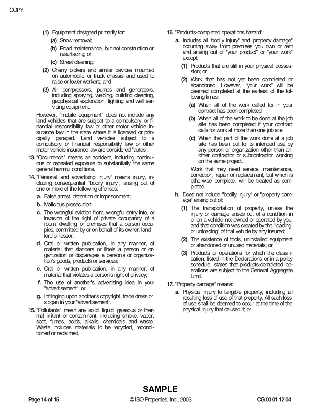- **(1)** Equipment designed primarily for:
	- **(a)** Snow removal;
	- **(b)** Road maintenance, but not construction or resurfacing; or
	- **(c)** Street cleaning;
- **(2)** Cherry pickers and similar devices mounted on automobile or truck chassis and used to raise or lower workers; and
- **(3)** Air compressors, pumps and generators, including spraying, welding, building cleaning, geophysical exploration, lighting and well servicing equipment.

However, "mobile equipment" does not include any land vehicles that are subject to a compulsory or financial responsibility law or other motor vehicle insurance law in the state where it is licensed or principally garaged. Land vehicles subject to a compulsory or financial responsibility law or other motor vehicle insurance law are considered "autos".

- **13.** "Occurrence" means an accident, including continuous or repeated exposure to substantially the same general harmful conditions.
- **14.** "Personal and advertising injury" means injury, including consequential "bodily injury", arising out of one or more of the following offenses:
	- **a.** False arrest, detention or imprisonment;
	- **b.** Malicious prosecution;
	- **c.** The wrongful eviction from, wrongful entry into, or invasion of the right of private occupancy of a room, dwelling or premises that a person occupies, committed by or on behalf of its owner, landlord or lessor;
	- **d.** Oral or written publication, in any manner, of material that slanders or libels a person or organization or disparages a person's or organization's goods, products or services;
	- **e.** Oral or written publication, in any manner, of material that violates a person's right of privacy;
	- **f.** The use of another's advertising idea in your "advertisement"; or
	- **g.** Infringing upon another's copyright, trade dress or slogan in your "advertisement".
- **15.** "Pollutants" mean any solid, liquid, gaseous or thermal irritant or contaminant, including smoke, vapor, soot, fumes, acids, alkalis, chemicals and waste. Waste includes materials to be recycled, reconditioned or reclaimed.
- **16.** "Products-completed operations hazard":
	- **a.** Includes all "bodily injury" and "property damage" occurring away from premises you own or rent and arising out of "your product" or "your work" except:
		- **(1)** Products that are still in your physical possession; or
		- **(2)** Work that has not yet been completed or abandoned. However, "your work" will be deemed completed at the earliest of the following times:
			- **(a)** When all of the work called for in your contract has been completed.
			- **(b)** When all of the work to be done at the job site has been completed if your contract calls for work at more than one job site.
			- **(c)** When that part of the work done at a job site has been put to its intended use by any person or organization other than another contractor or subcontractor working on the same project.

Work that may need service, maintenance, correction, repair or replacement, but which is otherwise complete, will be treated as completed.

- **b.** Does not include "bodily injury" or "property damage" arising out of:
	- **(1)** The transportation of property, unless the injury or damage arises out of a condition in or on a vehicle not owned or operated by you, and that condition was created by the "loading or unloading" of that vehicle by any insured;
	- **(2)** The existence of tools, uninstalled equipment or abandoned or unused materials; or
	- **(3)** Products or operations for which the classification, listed in the Declarations or in a policy schedule, states that products-completed operations are subject to the General Aggregate Limit.
- **17.** "Property damage" means:
	- **a.** Physical injury to tangible property, including all resulting loss of use of that property. All such loss of use shall be deemed to occur at the time of the physical injury that caused it; or